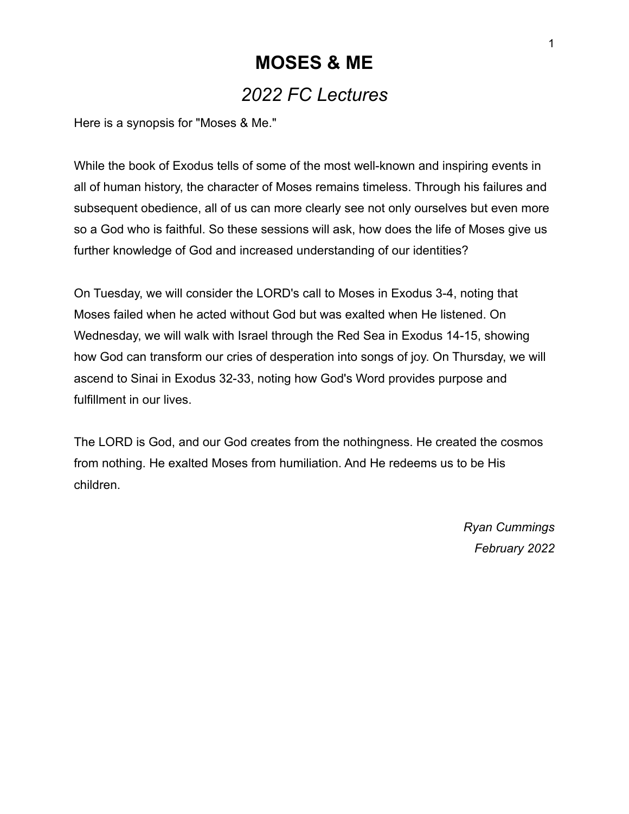# **MOSES & ME** *2022 FC Lectures*

Here is a synopsis for "Moses & Me."

While the book of Exodus tells of some of the most well-known and inspiring events in all of human history, the character of Moses remains timeless. Through his failures and subsequent obedience, all of us can more clearly see not only ourselves but even more so a God who is faithful. So these sessions will ask, how does the life of Moses give us further knowledge of God and increased understanding of our identities?

On Tuesday, we will consider the LORD's call to Moses in Exodus 3-4, noting that Moses failed when he acted without God but was exalted when He listened. On Wednesday, we will walk with Israel through the Red Sea in Exodus 14-15, showing how God can transform our cries of desperation into songs of joy. On Thursday, we will ascend to Sinai in Exodus 32-33, noting how God's Word provides purpose and fulfillment in our lives.

The LORD is God, and our God creates from the nothingness. He created the cosmos from nothing. He exalted Moses from humiliation. And He redeems us to be His children.

> *Ryan Cummings February 2022*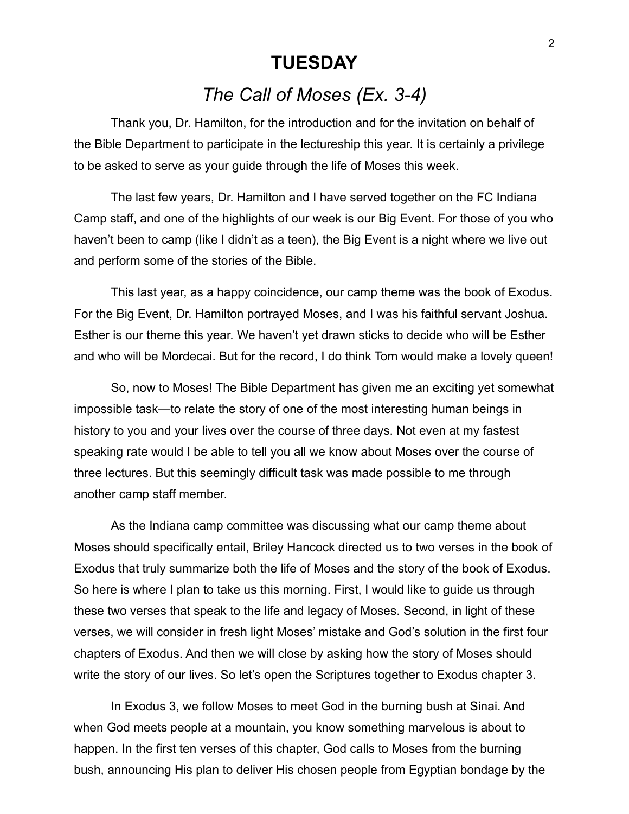#### **TUESDAY**

## *The Call of Moses (Ex. 3-4)*

Thank you, Dr. Hamilton, for the introduction and for the invitation on behalf of the Bible Department to participate in the lectureship this year. It is certainly a privilege to be asked to serve as your guide through the life of Moses this week.

The last few years, Dr. Hamilton and I have served together on the FC Indiana Camp staff, and one of the highlights of our week is our Big Event. For those of you who haven't been to camp (like I didn't as a teen), the Big Event is a night where we live out and perform some of the stories of the Bible.

This last year, as a happy coincidence, our camp theme was the book of Exodus. For the Big Event, Dr. Hamilton portrayed Moses, and I was his faithful servant Joshua. Esther is our theme this year. We haven't yet drawn sticks to decide who will be Esther and who will be Mordecai. But for the record, I do think Tom would make a lovely queen!

So, now to Moses! The Bible Department has given me an exciting yet somewhat impossible task—to relate the story of one of the most interesting human beings in history to you and your lives over the course of three days. Not even at my fastest speaking rate would I be able to tell you all we know about Moses over the course of three lectures. But this seemingly difficult task was made possible to me through another camp staff member.

As the Indiana camp committee was discussing what our camp theme about Moses should specifically entail, Briley Hancock directed us to two verses in the book of Exodus that truly summarize both the life of Moses and the story of the book of Exodus. So here is where I plan to take us this morning. First, I would like to guide us through these two verses that speak to the life and legacy of Moses. Second, in light of these verses, we will consider in fresh light Moses' mistake and God's solution in the first four chapters of Exodus. And then we will close by asking how the story of Moses should write the story of our lives. So let's open the Scriptures together to Exodus chapter 3.

In Exodus 3, we follow Moses to meet God in the burning bush at Sinai. And when God meets people at a mountain, you know something marvelous is about to happen. In the first ten verses of this chapter, God calls to Moses from the burning bush, announcing His plan to deliver His chosen people from Egyptian bondage by the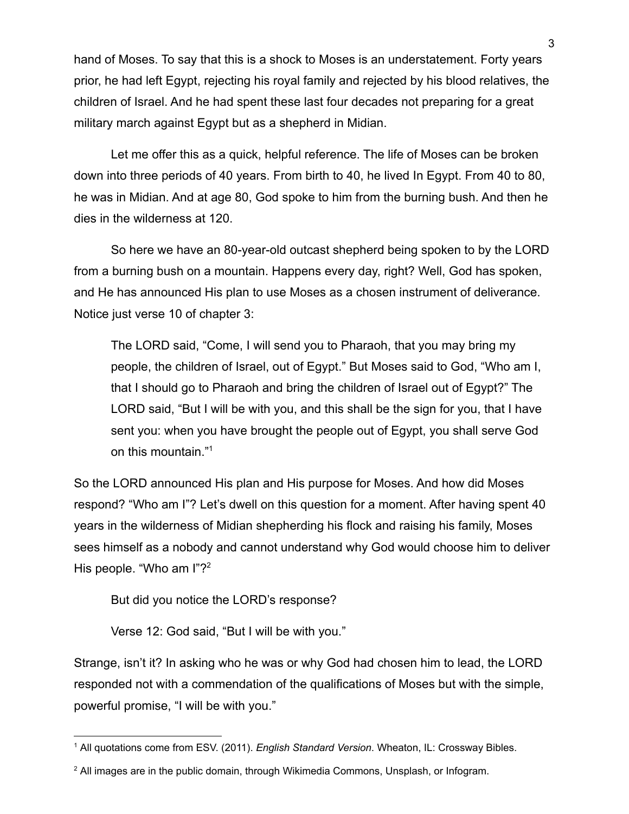hand of Moses. To say that this is a shock to Moses is an understatement. Forty years prior, he had left Egypt, rejecting his royal family and rejected by his blood relatives, the children of Israel. And he had spent these last four decades not preparing for a great military march against Egypt but as a shepherd in Midian.

Let me offer this as a quick, helpful reference. The life of Moses can be broken down into three periods of 40 years. From birth to 40, he lived In Egypt. From 40 to 80, he was in Midian. And at age 80, God spoke to him from the burning bush. And then he dies in the wilderness at 120.

So here we have an 80-year-old outcast shepherd being spoken to by the LORD from a burning bush on a mountain. Happens every day, right? Well, God has spoken, and He has announced His plan to use Moses as a chosen instrument of deliverance. Notice just verse 10 of chapter 3:

The LORD said, "Come, I will send you to Pharaoh, that you may bring my people, the children of Israel, out of Egypt." But Moses said to God, "Who am I, that I should go to Pharaoh and bring the children of Israel out of Egypt?" The LORD said, "But I will be with you, and this shall be the sign for you, that I have sent you: when you have brought the people out of Egypt, you shall serve God on this mountain."<sup>1</sup>

So the LORD announced His plan and His purpose for Moses. And how did Moses respond? "Who am I"? Let's dwell on this question for a moment. After having spent 40 years in the wilderness of Midian shepherding his flock and raising his family, Moses sees himself as a nobody and cannot understand why God would choose him to deliver His people. "Who am I"?<sup>2</sup>

But did you notice the LORD's response?

Verse 12: God said, "But I will be with you."

Strange, isn't it? In asking who he was or why God had chosen him to lead, the LORD responded not with a commendation of the qualifications of Moses but with the simple, powerful promise, "I will be with you."

<sup>1</sup> All quotations come from ESV. (2011). *English Standard Version*. Wheaton, IL: Crossway Bibles.

 $2$  All images are in the public domain, through Wikimedia Commons, Unsplash, or Infogram.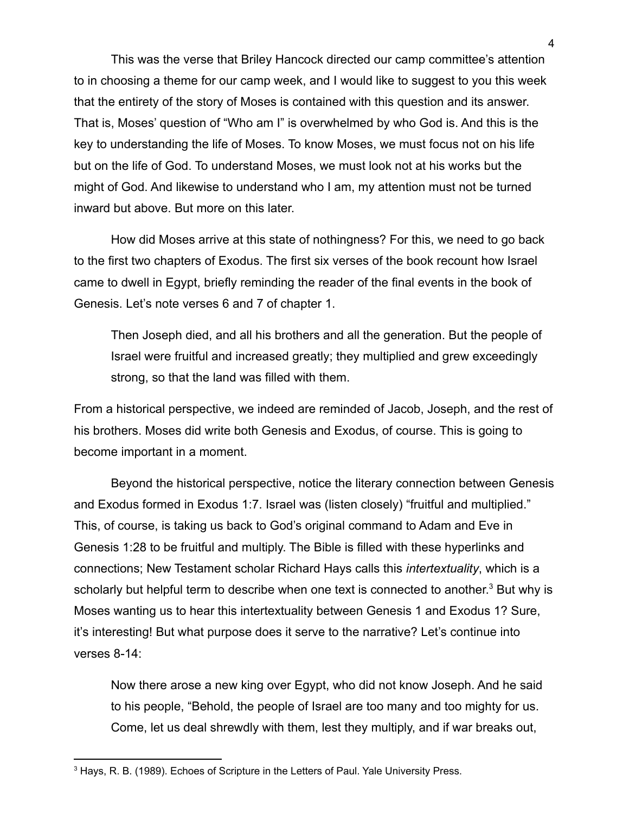This was the verse that Briley Hancock directed our camp committee's attention to in choosing a theme for our camp week, and I would like to suggest to you this week that the entirety of the story of Moses is contained with this question and its answer. That is, Moses' question of "Who am I" is overwhelmed by who God is. And this is the key to understanding the life of Moses. To know Moses, we must focus not on his life but on the life of God. To understand Moses, we must look not at his works but the might of God. And likewise to understand who I am, my attention must not be turned inward but above. But more on this later.

How did Moses arrive at this state of nothingness? For this, we need to go back to the first two chapters of Exodus. The first six verses of the book recount how Israel came to dwell in Egypt, briefly reminding the reader of the final events in the book of Genesis. Let's note verses 6 and 7 of chapter 1.

Then Joseph died, and all his brothers and all the generation. But the people of Israel were fruitful and increased greatly; they multiplied and grew exceedingly strong, so that the land was filled with them.

From a historical perspective, we indeed are reminded of Jacob, Joseph, and the rest of his brothers. Moses did write both Genesis and Exodus, of course. This is going to become important in a moment.

Beyond the historical perspective, notice the literary connection between Genesis and Exodus formed in Exodus 1:7. Israel was (listen closely) "fruitful and multiplied." This, of course, is taking us back to God's original command to Adam and Eve in Genesis 1:28 to be fruitful and multiply. The Bible is filled with these hyperlinks and connections; New Testament scholar Richard Hays calls this *intertextuality*, which is a scholarly but helpful term to describe when one text is connected to another.<sup>3</sup> But why is Moses wanting us to hear this intertextuality between Genesis 1 and Exodus 1? Sure, it's interesting! But what purpose does it serve to the narrative? Let's continue into verses 8-14:

Now there arose a new king over Egypt, who did not know Joseph. And he said to his people, "Behold, the people of Israel are too many and too mighty for us. Come, let us deal shrewdly with them, lest they multiply, and if war breaks out,

<sup>3</sup> Hays, R. B. (1989). Echoes of Scripture in the Letters of Paul. Yale University Press.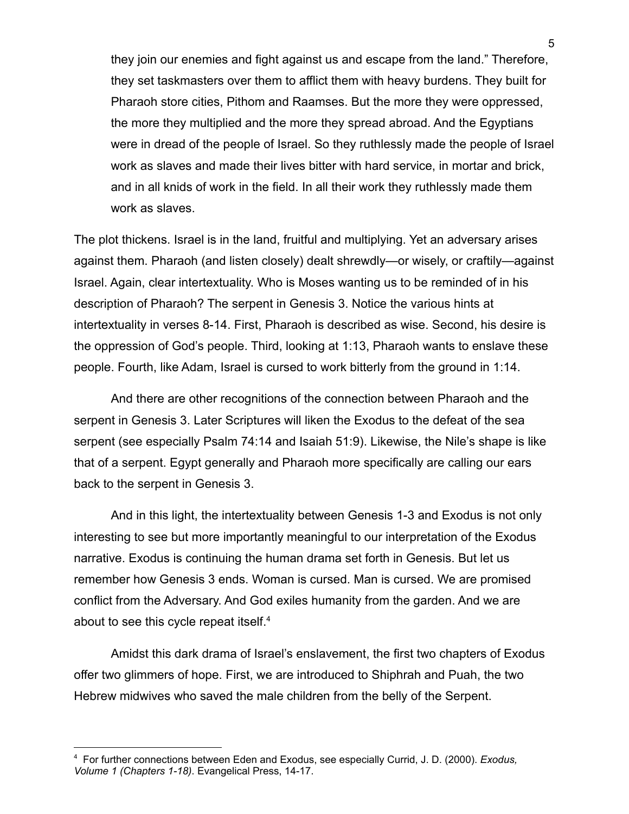they join our enemies and fight against us and escape from the land." Therefore, they set taskmasters over them to afflict them with heavy burdens. They built for Pharaoh store cities, Pithom and Raamses. But the more they were oppressed, the more they multiplied and the more they spread abroad. And the Egyptians were in dread of the people of Israel. So they ruthlessly made the people of Israel work as slaves and made their lives bitter with hard service, in mortar and brick, and in all knids of work in the field. In all their work they ruthlessly made them work as slaves.

The plot thickens. Israel is in the land, fruitful and multiplying. Yet an adversary arises against them. Pharaoh (and listen closely) dealt shrewdly—or wisely, or craftily—against Israel. Again, clear intertextuality. Who is Moses wanting us to be reminded of in his description of Pharaoh? The serpent in Genesis 3. Notice the various hints at intertextuality in verses 8-14. First, Pharaoh is described as wise. Second, his desire is the oppression of God's people. Third, looking at 1:13, Pharaoh wants to enslave these people. Fourth, like Adam, Israel is cursed to work bitterly from the ground in 1:14.

And there are other recognitions of the connection between Pharaoh and the serpent in Genesis 3. Later Scriptures will liken the Exodus to the defeat of the sea serpent (see especially Psalm 74:14 and Isaiah 51:9). Likewise, the Nile's shape is like that of a serpent. Egypt generally and Pharaoh more specifically are calling our ears back to the serpent in Genesis 3.

And in this light, the intertextuality between Genesis 1-3 and Exodus is not only interesting to see but more importantly meaningful to our interpretation of the Exodus narrative. Exodus is continuing the human drama set forth in Genesis. But let us remember how Genesis 3 ends. Woman is cursed. Man is cursed. We are promised conflict from the Adversary. And God exiles humanity from the garden. And we are about to see this cycle repeat itself.<sup>4</sup>

Amidst this dark drama of Israel's enslavement, the first two chapters of Exodus offer two glimmers of hope. First, we are introduced to Shiphrah and Puah, the two Hebrew midwives who saved the male children from the belly of the Serpent.

<sup>4</sup> For further connections between Eden and Exodus, see especially Currid, J. D. (2000). *Exodus, Volume 1 (Chapters 1-18)*. Evangelical Press, 14-17.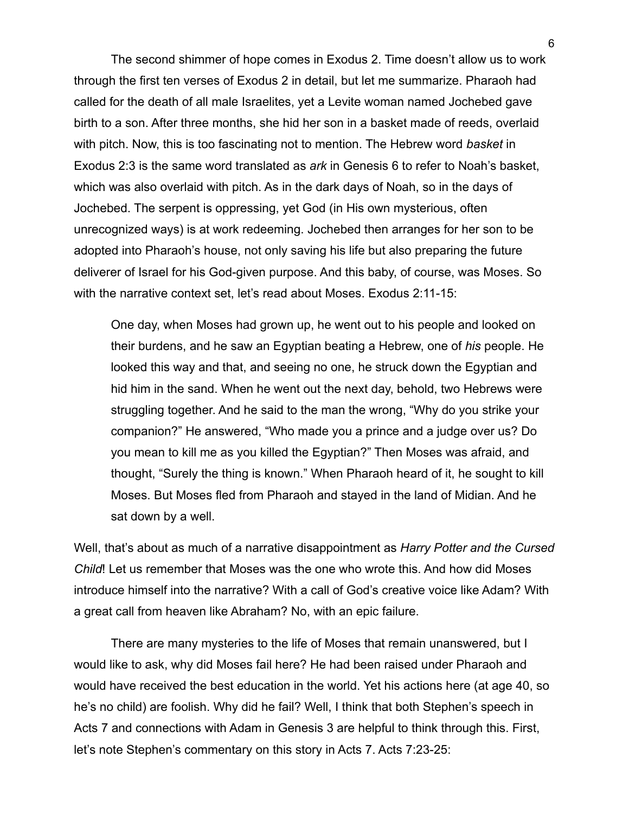The second shimmer of hope comes in Exodus 2. Time doesn't allow us to work through the first ten verses of Exodus 2 in detail, but let me summarize. Pharaoh had called for the death of all male Israelites, yet a Levite woman named Jochebed gave birth to a son. After three months, she hid her son in a basket made of reeds, overlaid with pitch. Now, this is too fascinating not to mention. The Hebrew word *basket* in Exodus 2:3 is the same word translated as *ark* in Genesis 6 to refer to Noah's basket, which was also overlaid with pitch. As in the dark days of Noah, so in the days of Jochebed. The serpent is oppressing, yet God (in His own mysterious, often unrecognized ways) is at work redeeming. Jochebed then arranges for her son to be adopted into Pharaoh's house, not only saving his life but also preparing the future deliverer of Israel for his God-given purpose. And this baby, of course, was Moses. So with the narrative context set, let's read about Moses. Exodus 2:11-15:

One day, when Moses had grown up, he went out to his people and looked on their burdens, and he saw an Egyptian beating a Hebrew, one of *his* people. He looked this way and that, and seeing no one, he struck down the Egyptian and hid him in the sand. When he went out the next day, behold, two Hebrews were struggling together. And he said to the man the wrong, "Why do you strike your companion?" He answered, "Who made you a prince and a judge over us? Do you mean to kill me as you killed the Egyptian?" Then Moses was afraid, and thought, "Surely the thing is known." When Pharaoh heard of it, he sought to kill Moses. But Moses fled from Pharaoh and stayed in the land of Midian. And he sat down by a well.

Well, that's about as much of a narrative disappointment as *Harry Potter and the Cursed Child*! Let us remember that Moses was the one who wrote this. And how did Moses introduce himself into the narrative? With a call of God's creative voice like Adam? With a great call from heaven like Abraham? No, with an epic failure.

There are many mysteries to the life of Moses that remain unanswered, but I would like to ask, why did Moses fail here? He had been raised under Pharaoh and would have received the best education in the world. Yet his actions here (at age 40, so he's no child) are foolish. Why did he fail? Well, I think that both Stephen's speech in Acts 7 and connections with Adam in Genesis 3 are helpful to think through this. First, let's note Stephen's commentary on this story in Acts 7. Acts 7:23-25: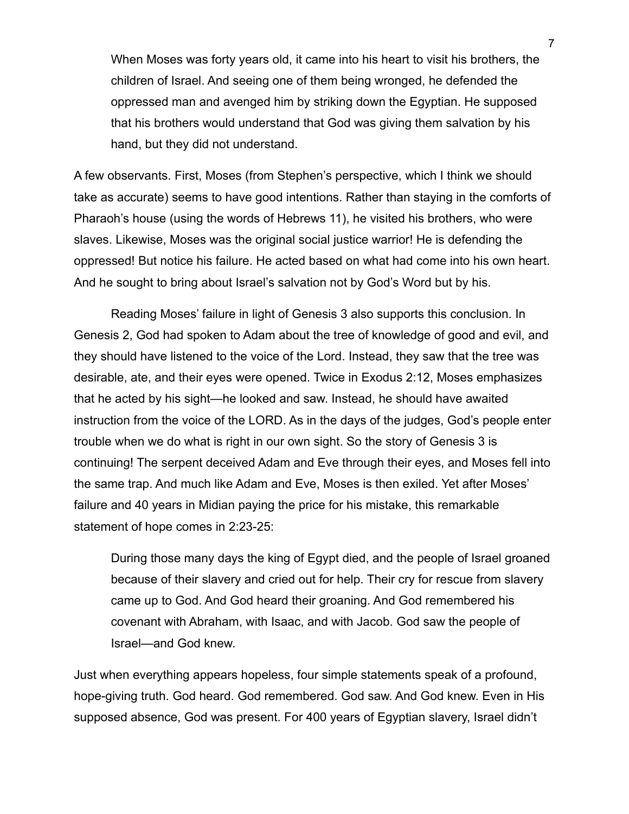When Moses was forty years old, it came into his heart to visit his brothers, the children of Israel. And seeing one of them being wronged, he defended the oppressed man and avenged him by striking down the Egyptian. He supposed that his brothers would understand that God was giving them salvation by his hand, but they did not understand.

A few observants. First, Moses (from Stephen's perspective, which I think we should take as accurate) seems to have good intentions. Rather than staying in the comforts of Pharaoh's house (using the words of Hebrews 11), he visited his brothers, who were slaves. Likewise, Moses was the original social justice warrior! He is defending the oppressed! But notice his failure. He acted based on what had come into his own heart. And he sought to bring about Israel's salvation not by God's Word but by his.

Reading Moses' failure in light of Genesis 3 also supports this conclusion. In Genesis 2, God had spoken to Adam about the tree of knowledge of good and evil, and they should have listened to the voice of the Lord. Instead, they saw that the tree was desirable, ate, and their eyes were opened. Twice in Exodus 2:12, Moses emphasizes that he acted by his sight—he looked and saw. Instead, he should have awaited instruction from the voice of the LORD. As in the days of the judges, God's people enter trouble when we do what is right in our own sight. So the story of Genesis 3 is continuing! The serpent deceived Adam and Eve through their eyes, and Moses fell into the same trap. And much like Adam and Eve, Moses is then exiled. Yet after Moses' failure and 40 years in Midian paying the price for his mistake, this remarkable statement of hope comes in 2:23-25:

During those many days the king of Egypt died, and the people of Israel groaned because of their slavery and cried out for help. Their cry for rescue from slavery came up to God. And God heard their groaning. And God remembered his covenant with Abraham, with Isaac, and with Jacob. God saw the people of Israel—and God knew.

Just when everything appears hopeless, four simple statements speak of a profound, hope-giving truth. God heard. God remembered. God saw. And God knew. Even in His supposed absence, God was present. For 400 years of Egyptian slavery, Israel didn't

7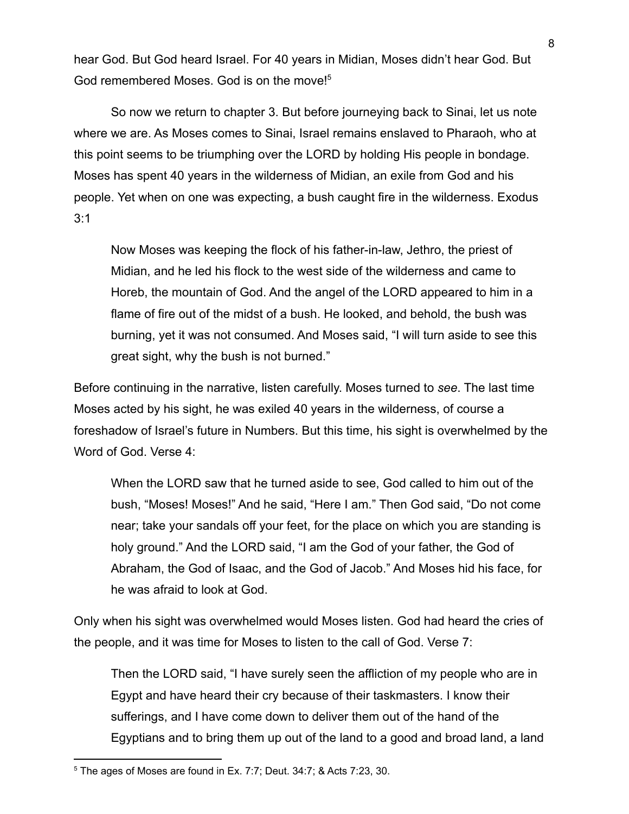hear God. But God heard Israel. For 40 years in Midian, Moses didn't hear God. But God remembered Moses. God is on the move!<sup>5</sup>

So now we return to chapter 3. But before journeying back to Sinai, let us note where we are. As Moses comes to Sinai, Israel remains enslaved to Pharaoh, who at this point seems to be triumphing over the LORD by holding His people in bondage. Moses has spent 40 years in the wilderness of Midian, an exile from God and his people. Yet when on one was expecting, a bush caught fire in the wilderness. Exodus 3:1

Now Moses was keeping the flock of his father-in-law, Jethro, the priest of Midian, and he led his flock to the west side of the wilderness and came to Horeb, the mountain of God. And the angel of the LORD appeared to him in a flame of fire out of the midst of a bush. He looked, and behold, the bush was burning, yet it was not consumed. And Moses said, "I will turn aside to see this great sight, why the bush is not burned."

Before continuing in the narrative, listen carefully. Moses turned to *see*. The last time Moses acted by his sight, he was exiled 40 years in the wilderness, of course a foreshadow of Israel's future in Numbers. But this time, his sight is overwhelmed by the Word of God. Verse 4:

When the LORD saw that he turned aside to see, God called to him out of the bush, "Moses! Moses!" And he said, "Here I am." Then God said, "Do not come near; take your sandals off your feet, for the place on which you are standing is holy ground." And the LORD said, "I am the God of your father, the God of Abraham, the God of Isaac, and the God of Jacob." And Moses hid his face, for he was afraid to look at God.

Only when his sight was overwhelmed would Moses listen. God had heard the cries of the people, and it was time for Moses to listen to the call of God. Verse 7:

Then the LORD said, "I have surely seen the affliction of my people who are in Egypt and have heard their cry because of their taskmasters. I know their sufferings, and I have come down to deliver them out of the hand of the Egyptians and to bring them up out of the land to a good and broad land, a land

<sup>5</sup> The ages of Moses are found in Ex. 7:7; Deut. 34:7; & Acts 7:23, 30.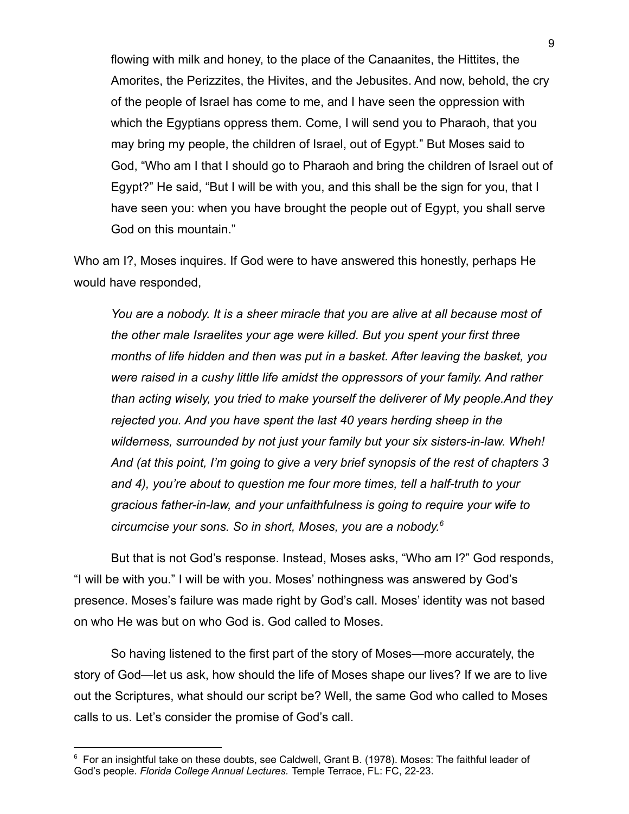flowing with milk and honey, to the place of the Canaanites, the Hittites, the Amorites, the Perizzites, the Hivites, and the Jebusites. And now, behold, the cry of the people of Israel has come to me, and I have seen the oppression with which the Egyptians oppress them. Come, I will send you to Pharaoh, that you may bring my people, the children of Israel, out of Egypt." But Moses said to God, "Who am I that I should go to Pharaoh and bring the children of Israel out of Egypt?" He said, "But I will be with you, and this shall be the sign for you, that I have seen you: when you have brought the people out of Egypt, you shall serve God on this mountain."

Who am I?, Moses inquires. If God were to have answered this honestly, perhaps He would have responded,

*You are a nobody. It is a sheer miracle that you are alive at all because most of the other male Israelites your age were killed. But you spent your first three months of life hidden and then was put in a basket. After leaving the basket, you were raised in a cushy little life amidst the oppressors of your family. And rather than acting wisely, you tried to make yourself the deliverer of My people.And they rejected you. And you have spent the last 40 years herding sheep in the wilderness, surrounded by not just your family but your six sisters-in-law. Wheh! And (at this point, I'm going to give a very brief synopsis of the rest of chapters 3 and 4), you're about to question me four more times, tell a half-truth to your gracious father-in-law, and your unfaithfulness is going to require your wife to circumcise your sons. So in short, Moses, you are a nobody. 6*

But that is not God's response. Instead, Moses asks, "Who am I?" God responds, "I will be with you." I will be with you. Moses' nothingness was answered by God's presence. Moses's failure was made right by God's call. Moses' identity was not based on who He was but on who God is. God called to Moses.

So having listened to the first part of the story of Moses—more accurately, the story of God—let us ask, how should the life of Moses shape our lives? If we are to live out the Scriptures, what should our script be? Well, the same God who called to Moses calls to us. Let's consider the promise of God's call.

 $6$  For an insightful take on these doubts, see Caldwell, Grant B. (1978). Moses: The faithful leader of God's people. *Florida College Annual Lectures.* Temple Terrace, FL: FC, 22-23.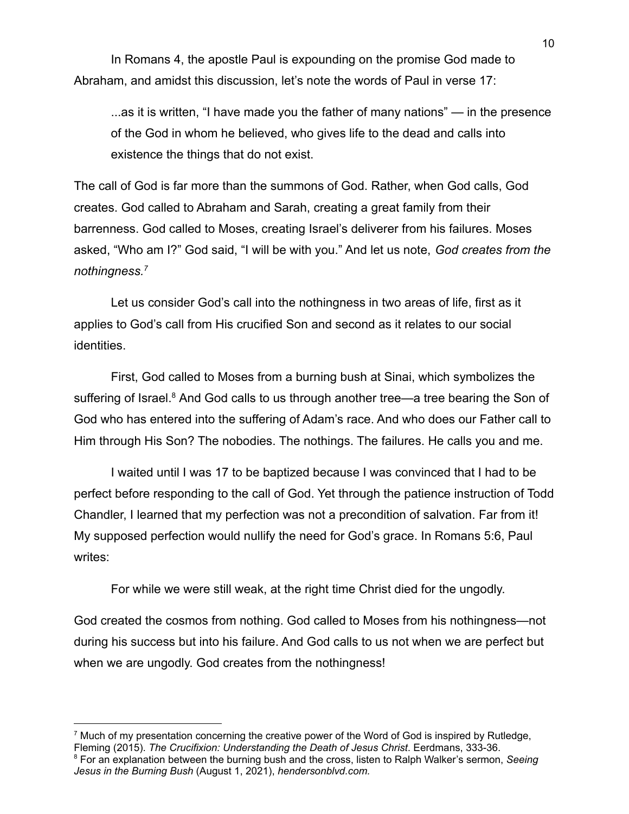In Romans 4, the apostle Paul is expounding on the promise God made to Abraham, and amidst this discussion, let's note the words of Paul in verse 17:

...as it is written, "I have made you the father of many nations" — in the presence of the God in whom he believed, who gives life to the dead and calls into existence the things that do not exist.

The call of God is far more than the summons of God. Rather, when God calls, God creates. God called to Abraham and Sarah, creating a great family from their barrenness. God called to Moses, creating Israel's deliverer from his failures. Moses asked, "Who am I?" God said, "I will be with you." And let us note, *God creates from the nothingness.<sup>7</sup>*

Let us consider God's call into the nothingness in two areas of life, first as it applies to God's call from His crucified Son and second as it relates to our social identities.

First, God called to Moses from a burning bush at Sinai, which symbolizes the suffering of Israel.<sup>8</sup> And God calls to us through another tree—a tree bearing the Son of God who has entered into the suffering of Adam's race. And who does our Father call to Him through His Son? The nobodies. The nothings. The failures. He calls you and me.

I waited until I was 17 to be baptized because I was convinced that I had to be perfect before responding to the call of God. Yet through the patience instruction of Todd Chandler, I learned that my perfection was not a precondition of salvation. Far from it! My supposed perfection would nullify the need for God's grace. In Romans 5:6, Paul writes:

For while we were still weak, at the right time Christ died for the ungodly.

God created the cosmos from nothing. God called to Moses from his nothingness—not during his success but into his failure. And God calls to us not when we are perfect but when we are ungodly. God creates from the nothingness!

 $<sup>7</sup>$  Much of my presentation concerning the creative power of the Word of God is inspired by Rutledge,</sup> Fleming (2015). *The Crucifixion: Understanding the Death of Jesus Christ*. Eerdmans, 333-36.

<sup>8</sup> For an explanation between the burning bush and the cross, listen to Ralph Walker's sermon, *Seeing Jesus in the Burning Bush* (August 1, 2021), *hendersonblvd.com.*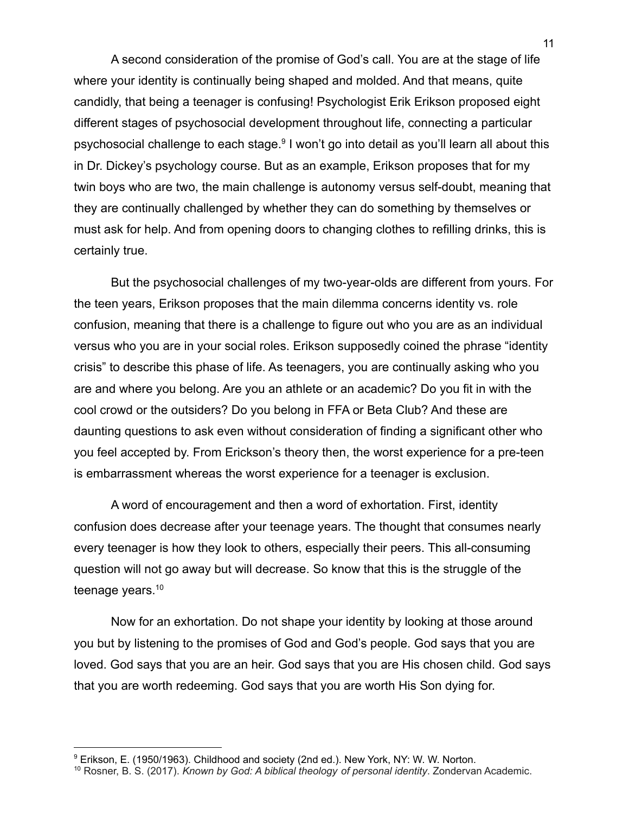A second consideration of the promise of God's call. You are at the stage of life where your identity is continually being shaped and molded. And that means, quite candidly, that being a teenager is confusing! Psychologist Erik Erikson proposed eight different stages of psychosocial development throughout life, connecting a particular psychosocial challenge to each stage.<sup>9</sup> I won't go into detail as you'll learn all about this in Dr. Dickey's psychology course. But as an example, Erikson proposes that for my twin boys who are two, the main challenge is autonomy versus self-doubt, meaning that they are continually challenged by whether they can do something by themselves or must ask for help. And from opening doors to changing clothes to refilling drinks, this is certainly true.

But the psychosocial challenges of my two-year-olds are different from yours. For the teen years, Erikson proposes that the main dilemma concerns identity vs. role confusion, meaning that there is a challenge to figure out who you are as an individual versus who you are in your social roles. Erikson supposedly coined the phrase "identity crisis" to describe this phase of life. As teenagers, you are continually asking who you are and where you belong. Are you an athlete or an academic? Do you fit in with the cool crowd or the outsiders? Do you belong in FFA or Beta Club? And these are daunting questions to ask even without consideration of finding a significant other who you feel accepted by. From Erickson's theory then, the worst experience for a pre-teen is embarrassment whereas the worst experience for a teenager is exclusion.

A word of encouragement and then a word of exhortation. First, identity confusion does decrease after your teenage years. The thought that consumes nearly every teenager is how they look to others, especially their peers. This all-consuming question will not go away but will decrease. So know that this is the struggle of the teenage years.<sup>10</sup>

Now for an exhortation. Do not shape your identity by looking at those around you but by listening to the promises of God and God's people. God says that you are loved. God says that you are an heir. God says that you are His chosen child. God says that you are worth redeeming. God says that you are worth His Son dying for.

<sup>9</sup> Erikson, E. (1950/1963). Childhood and society (2nd ed.). New York, NY: W. W. Norton.

<sup>10</sup> Rosner, B. S. (2017). *Known by God: A biblical theology of personal identity*. Zondervan Academic.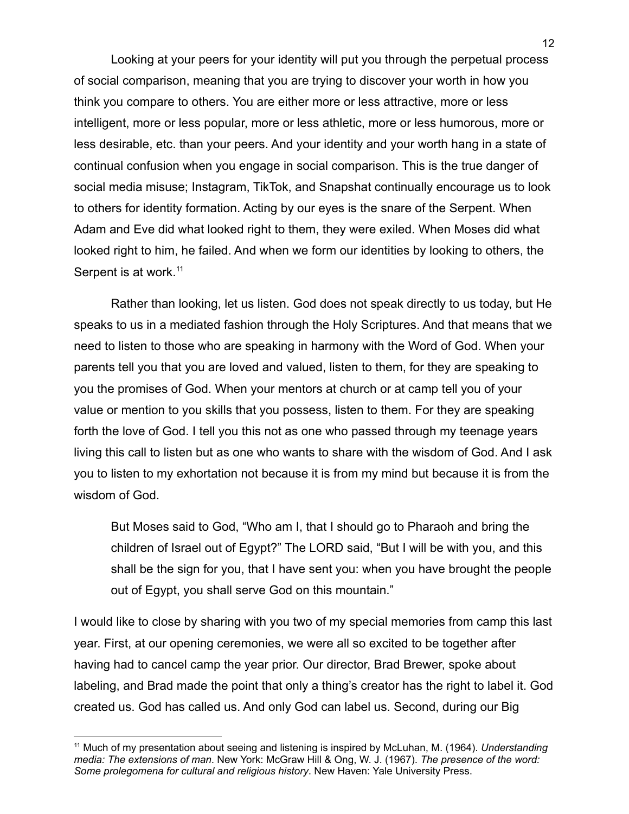Looking at your peers for your identity will put you through the perpetual process of social comparison, meaning that you are trying to discover your worth in how you think you compare to others. You are either more or less attractive, more or less intelligent, more or less popular, more or less athletic, more or less humorous, more or less desirable, etc. than your peers. And your identity and your worth hang in a state of continual confusion when you engage in social comparison. This is the true danger of social media misuse; Instagram, TikTok, and Snapshat continually encourage us to look to others for identity formation. Acting by our eyes is the snare of the Serpent. When Adam and Eve did what looked right to them, they were exiled. When Moses did what looked right to him, he failed. And when we form our identities by looking to others, the Serpent is at work.<sup>11</sup>

Rather than looking, let us listen. God does not speak directly to us today, but He speaks to us in a mediated fashion through the Holy Scriptures. And that means that we need to listen to those who are speaking in harmony with the Word of God. When your parents tell you that you are loved and valued, listen to them, for they are speaking to you the promises of God. When your mentors at church or at camp tell you of your value or mention to you skills that you possess, listen to them. For they are speaking forth the love of God. I tell you this not as one who passed through my teenage years living this call to listen but as one who wants to share with the wisdom of God. And I ask you to listen to my exhortation not because it is from my mind but because it is from the wisdom of God.

But Moses said to God, "Who am I, that I should go to Pharaoh and bring the children of Israel out of Egypt?" The LORD said, "But I will be with you, and this shall be the sign for you, that I have sent you: when you have brought the people out of Egypt, you shall serve God on this mountain."

I would like to close by sharing with you two of my special memories from camp this last year. First, at our opening ceremonies, we were all so excited to be together after having had to cancel camp the year prior. Our director, Brad Brewer, spoke about labeling, and Brad made the point that only a thing's creator has the right to label it. God created us. God has called us. And only God can label us. Second, during our Big

<sup>11</sup> Much of my presentation about seeing and listening is inspired by McLuhan, M. (1964). *Understanding media: The extensions of man*. New York: McGraw Hill & Ong, W. J. (1967). *The presence of the word: Some prolegomena for cultural and religious history*. New Haven: Yale University Press.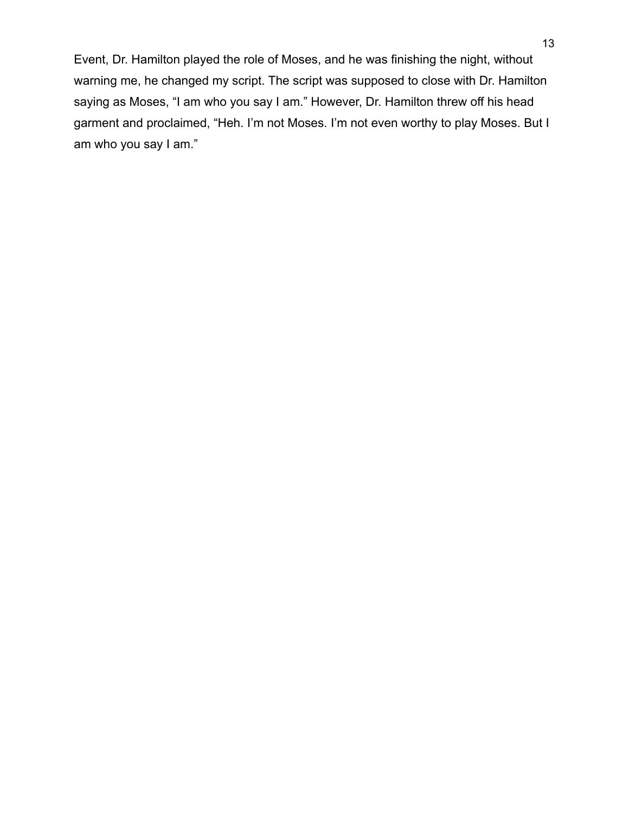Event, Dr. Hamilton played the role of Moses, and he was finishing the night, without warning me, he changed my script. The script was supposed to close with Dr. Hamilton saying as Moses, "I am who you say I am." However, Dr. Hamilton threw off his head garment and proclaimed, "Heh. I'm not Moses. I'm not even worthy to play Moses. But I am who you say I am."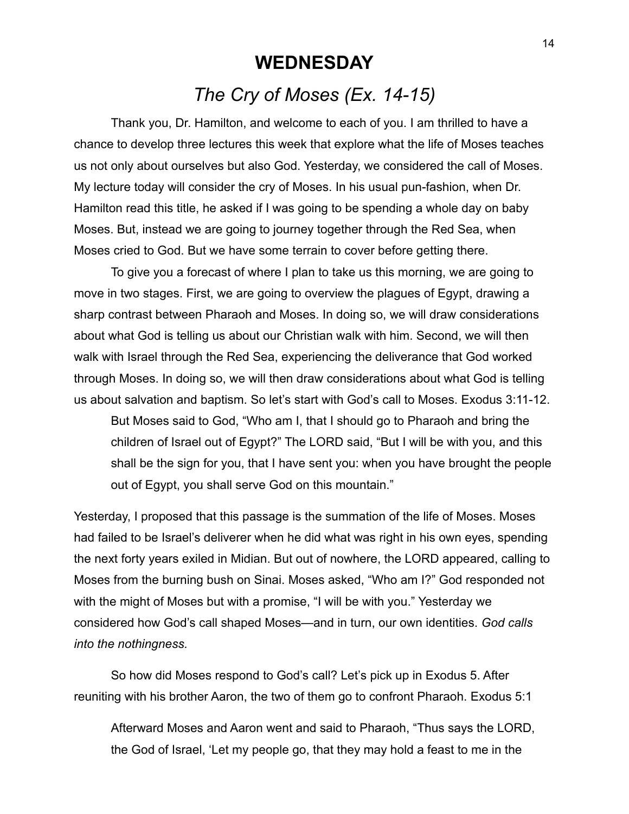## **WEDNESDAY** *The Cry of Moses (Ex. 14-15)*

Thank you, Dr. Hamilton, and welcome to each of you. I am thrilled to have a chance to develop three lectures this week that explore what the life of Moses teaches us not only about ourselves but also God. Yesterday, we considered the call of Moses. My lecture today will consider the cry of Moses. In his usual pun-fashion, when Dr. Hamilton read this title, he asked if I was going to be spending a whole day on baby Moses. But, instead we are going to journey together through the Red Sea, when Moses cried to God. But we have some terrain to cover before getting there.

To give you a forecast of where I plan to take us this morning, we are going to move in two stages. First, we are going to overview the plagues of Egypt, drawing a sharp contrast between Pharaoh and Moses. In doing so, we will draw considerations about what God is telling us about our Christian walk with him. Second, we will then walk with Israel through the Red Sea, experiencing the deliverance that God worked through Moses. In doing so, we will then draw considerations about what God is telling us about salvation and baptism. So let's start with God's call to Moses. Exodus 3:11-12.

But Moses said to God, "Who am I, that I should go to Pharaoh and bring the children of Israel out of Egypt?" The LORD said, "But I will be with you, and this shall be the sign for you, that I have sent you: when you have brought the people out of Egypt, you shall serve God on this mountain."

Yesterday, I proposed that this passage is the summation of the life of Moses. Moses had failed to be Israel's deliverer when he did what was right in his own eyes, spending the next forty years exiled in Midian. But out of nowhere, the LORD appeared, calling to Moses from the burning bush on Sinai. Moses asked, "Who am I?" God responded not with the might of Moses but with a promise, "I will be with you." Yesterday we considered how God's call shaped Moses—and in turn, our own identities. *God calls into the nothingness.*

So how did Moses respond to God's call? Let's pick up in Exodus 5. After reuniting with his brother Aaron, the two of them go to confront Pharaoh. Exodus 5:1

Afterward Moses and Aaron went and said to Pharaoh, "Thus says the LORD, the God of Israel, 'Let my people go, that they may hold a feast to me in the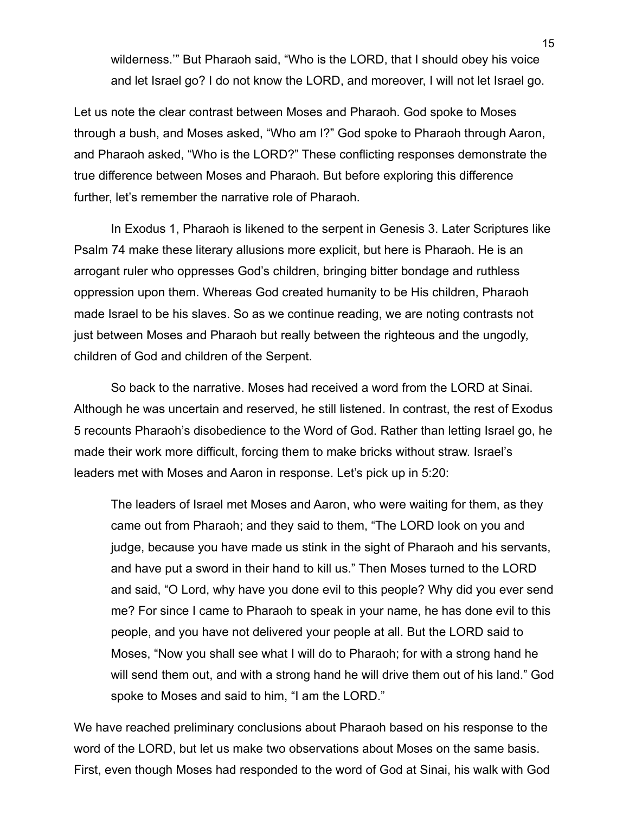wilderness.'" But Pharaoh said, "Who is the LORD, that I should obey his voice and let Israel go? I do not know the LORD, and moreover, I will not let Israel go.

Let us note the clear contrast between Moses and Pharaoh. God spoke to Moses through a bush, and Moses asked, "Who am I?" God spoke to Pharaoh through Aaron, and Pharaoh asked, "Who is the LORD?" These conflicting responses demonstrate the true difference between Moses and Pharaoh. But before exploring this difference further, let's remember the narrative role of Pharaoh.

In Exodus 1, Pharaoh is likened to the serpent in Genesis 3. Later Scriptures like Psalm 74 make these literary allusions more explicit, but here is Pharaoh. He is an arrogant ruler who oppresses God's children, bringing bitter bondage and ruthless oppression upon them. Whereas God created humanity to be His children, Pharaoh made Israel to be his slaves. So as we continue reading, we are noting contrasts not just between Moses and Pharaoh but really between the righteous and the ungodly, children of God and children of the Serpent.

So back to the narrative. Moses had received a word from the LORD at Sinai. Although he was uncertain and reserved, he still listened. In contrast, the rest of Exodus 5 recounts Pharaoh's disobedience to the Word of God. Rather than letting Israel go, he made their work more difficult, forcing them to make bricks without straw. Israel's leaders met with Moses and Aaron in response. Let's pick up in 5:20:

The leaders of Israel met Moses and Aaron, who were waiting for them, as they came out from Pharaoh; and they said to them, "The LORD look on you and judge, because you have made us stink in the sight of Pharaoh and his servants, and have put a sword in their hand to kill us." Then Moses turned to the LORD and said, "O Lord, why have you done evil to this people? Why did you ever send me? For since I came to Pharaoh to speak in your name, he has done evil to this people, and you have not delivered your people at all. But the LORD said to Moses, "Now you shall see what I will do to Pharaoh; for with a strong hand he will send them out, and with a strong hand he will drive them out of his land." God spoke to Moses and said to him, "I am the LORD."

We have reached preliminary conclusions about Pharaoh based on his response to the word of the LORD, but let us make two observations about Moses on the same basis. First, even though Moses had responded to the word of God at Sinai, his walk with God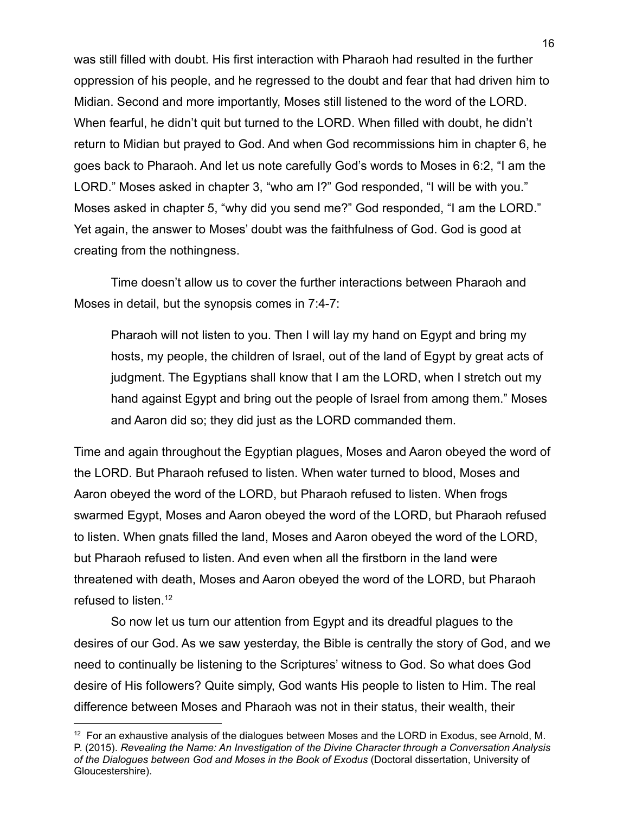was still filled with doubt. His first interaction with Pharaoh had resulted in the further oppression of his people, and he regressed to the doubt and fear that had driven him to Midian. Second and more importantly, Moses still listened to the word of the LORD. When fearful, he didn't quit but turned to the LORD. When filled with doubt, he didn't return to Midian but prayed to God. And when God recommissions him in chapter 6, he goes back to Pharaoh. And let us note carefully God's words to Moses in 6:2, "I am the LORD." Moses asked in chapter 3, "who am I?" God responded, "I will be with you." Moses asked in chapter 5, "why did you send me?" God responded, "I am the LORD." Yet again, the answer to Moses' doubt was the faithfulness of God. God is good at creating from the nothingness.

Time doesn't allow us to cover the further interactions between Pharaoh and Moses in detail, but the synopsis comes in 7:4-7:

Pharaoh will not listen to you. Then I will lay my hand on Egypt and bring my hosts, my people, the children of Israel, out of the land of Egypt by great acts of judgment. The Egyptians shall know that I am the LORD, when I stretch out my hand against Egypt and bring out the people of Israel from among them." Moses and Aaron did so; they did just as the LORD commanded them.

Time and again throughout the Egyptian plagues, Moses and Aaron obeyed the word of the LORD. But Pharaoh refused to listen. When water turned to blood, Moses and Aaron obeyed the word of the LORD, but Pharaoh refused to listen. When frogs swarmed Egypt, Moses and Aaron obeyed the word of the LORD, but Pharaoh refused to listen. When gnats filled the land, Moses and Aaron obeyed the word of the LORD, but Pharaoh refused to listen. And even when all the firstborn in the land were threatened with death, Moses and Aaron obeyed the word of the LORD, but Pharaoh refused to listen.<sup>12</sup>

So now let us turn our attention from Egypt and its dreadful plagues to the desires of our God. As we saw yesterday, the Bible is centrally the story of God, and we need to continually be listening to the Scriptures' witness to God. So what does God desire of His followers? Quite simply, God wants His people to listen to Him. The real difference between Moses and Pharaoh was not in their status, their wealth, their

 $12$  For an exhaustive analysis of the dialogues between Moses and the LORD in Exodus, see Arnold, M. P. (2015). *Revealing the Name: An Investigation of the Divine Character through a Conversation Analysis of the Dialogues between God and Moses in the Book of Exodus* (Doctoral dissertation, University of Gloucestershire).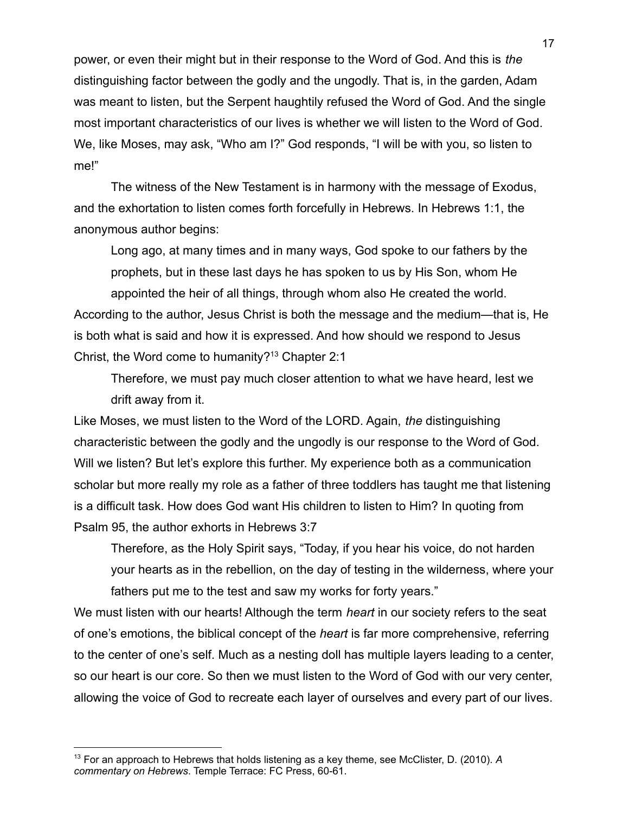power, or even their might but in their response to the Word of God. And this is *the* distinguishing factor between the godly and the ungodly. That is, in the garden, Adam was meant to listen, but the Serpent haughtily refused the Word of God. And the single most important characteristics of our lives is whether we will listen to the Word of God. We, like Moses, may ask, "Who am I?" God responds, "I will be with you, so listen to me!"

The witness of the New Testament is in harmony with the message of Exodus, and the exhortation to listen comes forth forcefully in Hebrews. In Hebrews 1:1, the anonymous author begins:

Long ago, at many times and in many ways, God spoke to our fathers by the prophets, but in these last days he has spoken to us by His Son, whom He appointed the heir of all things, through whom also He created the world. According to the author, Jesus Christ is both the message and the medium—that is, He is both what is said and how it is expressed. And how should we respond to Jesus Christ, the Word come to humanity?<sup>13</sup> Chapter 2:1

Therefore, we must pay much closer attention to what we have heard, lest we drift away from it.

Like Moses, we must listen to the Word of the LORD. Again, *the* distinguishing characteristic between the godly and the ungodly is our response to the Word of God. Will we listen? But let's explore this further. My experience both as a communication scholar but more really my role as a father of three toddlers has taught me that listening is a difficult task. How does God want His children to listen to Him? In quoting from Psalm 95, the author exhorts in Hebrews 3:7

Therefore, as the Holy Spirit says, "Today, if you hear his voice, do not harden your hearts as in the rebellion, on the day of testing in the wilderness, where your fathers put me to the test and saw my works for forty years."

We must listen with our hearts! Although the term *heart* in our society refers to the seat of one's emotions, the biblical concept of the *heart* is far more comprehensive, referring to the center of one's self. Much as a nesting doll has multiple layers leading to a center, so our heart is our core. So then we must listen to the Word of God with our very center, allowing the voice of God to recreate each layer of ourselves and every part of our lives.

<sup>13</sup> For an approach to Hebrews that holds listening as a key theme, see McClister, D. (2010). *A commentary on Hebrews*. Temple Terrace: FC Press, 60-61.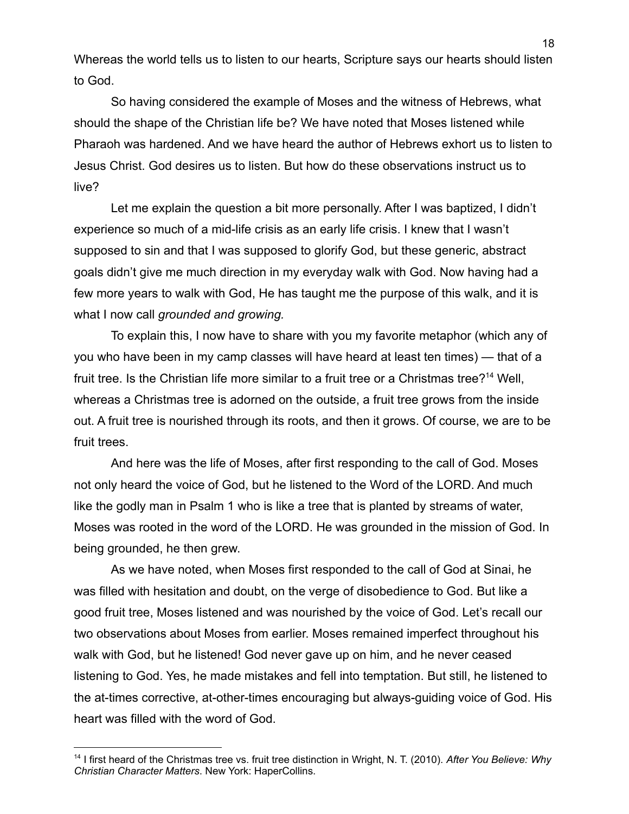Whereas the world tells us to listen to our hearts, Scripture says our hearts should listen to God.

So having considered the example of Moses and the witness of Hebrews, what should the shape of the Christian life be? We have noted that Moses listened while Pharaoh was hardened. And we have heard the author of Hebrews exhort us to listen to Jesus Christ. God desires us to listen. But how do these observations instruct us to live?

Let me explain the question a bit more personally. After I was baptized, I didn't experience so much of a mid-life crisis as an early life crisis. I knew that I wasn't supposed to sin and that I was supposed to glorify God, but these generic, abstract goals didn't give me much direction in my everyday walk with God. Now having had a few more years to walk with God, He has taught me the purpose of this walk, and it is what I now call *grounded and growing.*

To explain this, I now have to share with you my favorite metaphor (which any of you who have been in my camp classes will have heard at least ten times) — that of a fruit tree. Is the Christian life more similar to a fruit tree or a Christmas tree?<sup>14</sup> Well, whereas a Christmas tree is adorned on the outside, a fruit tree grows from the inside out. A fruit tree is nourished through its roots, and then it grows. Of course, we are to be fruit trees.

And here was the life of Moses, after first responding to the call of God. Moses not only heard the voice of God, but he listened to the Word of the LORD. And much like the godly man in Psalm 1 who is like a tree that is planted by streams of water, Moses was rooted in the word of the LORD. He was grounded in the mission of God. In being grounded, he then grew.

As we have noted, when Moses first responded to the call of God at Sinai, he was filled with hesitation and doubt, on the verge of disobedience to God. But like a good fruit tree, Moses listened and was nourished by the voice of God. Let's recall our two observations about Moses from earlier. Moses remained imperfect throughout his walk with God, but he listened! God never gave up on him, and he never ceased listening to God. Yes, he made mistakes and fell into temptation. But still, he listened to the at-times corrective, at-other-times encouraging but always-guiding voice of God. His heart was filled with the word of God.

<sup>14</sup> I first heard of the Christmas tree vs. fruit tree distinction in Wright, N. T. (2010). *After You Believe: Why Christian Character Matters*. New York: HaperCollins.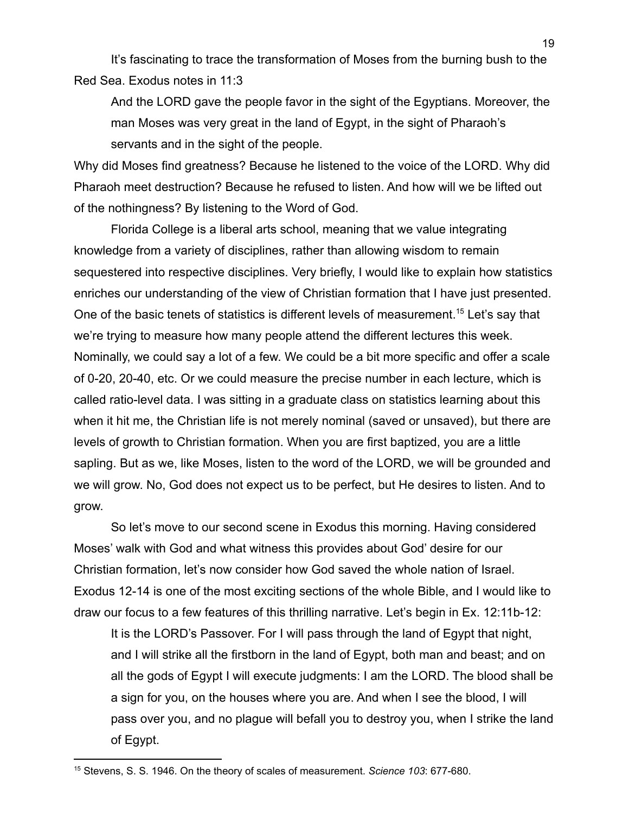It's fascinating to trace the transformation of Moses from the burning bush to the Red Sea. Exodus notes in 11:3

And the LORD gave the people favor in the sight of the Egyptians. Moreover, the man Moses was very great in the land of Egypt, in the sight of Pharaoh's servants and in the sight of the people.

Why did Moses find greatness? Because he listened to the voice of the LORD. Why did Pharaoh meet destruction? Because he refused to listen. And how will we be lifted out of the nothingness? By listening to the Word of God.

Florida College is a liberal arts school, meaning that we value integrating knowledge from a variety of disciplines, rather than allowing wisdom to remain sequestered into respective disciplines. Very briefly, I would like to explain how statistics enriches our understanding of the view of Christian formation that I have just presented. One of the basic tenets of statistics is different levels of measurement.<sup>15</sup> Let's say that we're trying to measure how many people attend the different lectures this week. Nominally, we could say a lot of a few. We could be a bit more specific and offer a scale of 0-20, 20-40, etc. Or we could measure the precise number in each lecture, which is called ratio-level data. I was sitting in a graduate class on statistics learning about this when it hit me, the Christian life is not merely nominal (saved or unsaved), but there are levels of growth to Christian formation. When you are first baptized, you are a little sapling. But as we, like Moses, listen to the word of the LORD, we will be grounded and we will grow. No, God does not expect us to be perfect, but He desires to listen. And to grow.

So let's move to our second scene in Exodus this morning. Having considered Moses' walk with God and what witness this provides about God' desire for our Christian formation, let's now consider how God saved the whole nation of Israel. Exodus 12-14 is one of the most exciting sections of the whole Bible, and I would like to draw our focus to a few features of this thrilling narrative. Let's begin in Ex. 12:11b-12:

It is the LORD's Passover. For I will pass through the land of Egypt that night, and I will strike all the firstborn in the land of Egypt, both man and beast; and on all the gods of Egypt I will execute judgments: I am the LORD. The blood shall be a sign for you, on the houses where you are. And when I see the blood, I will pass over you, and no plague will befall you to destroy you, when I strike the land of Egypt.

<sup>15</sup> Stevens, S. S. 1946. On the theory of scales of measurement. *Science 103*: 677-680.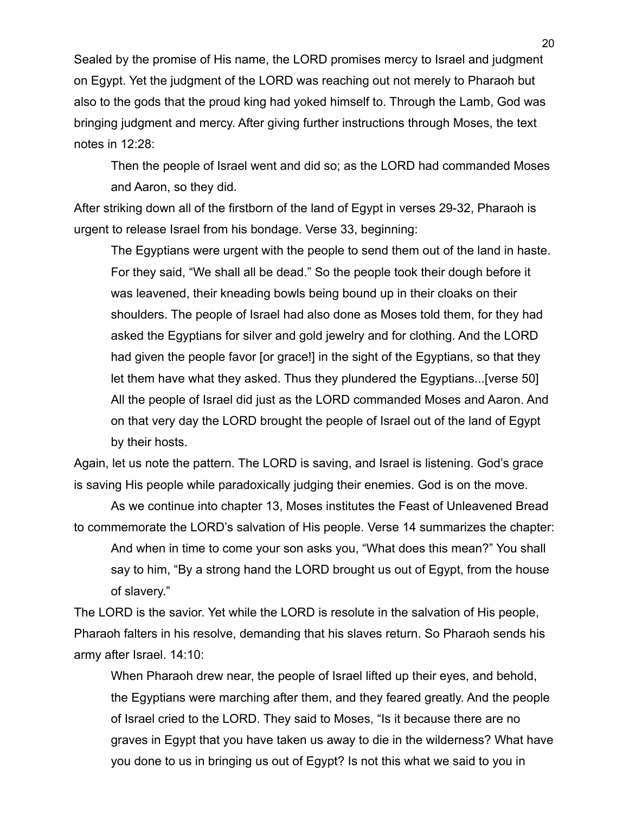Sealed by the promise of His name, the LORD promises mercy to Israel and judgment on Egypt. Yet the judgment of the LORD was reaching out not merely to Pharaoh but also to the gods that the proud king had yoked himself to. Through the Lamb, God was bringing judgment and mercy. After giving further instructions through Moses, the text notes in 12:28:

Then the people of Israel went and did so; as the LORD had commanded Moses and Aaron, so they did.

After striking down all of the firstborn of the land of Egypt in verses 29-32, Pharaoh is urgent to release Israel from his bondage. Verse 33, beginning:

The Egyptians were urgent with the people to send them out of the land in haste. For they said, "We shall all be dead." So the people took their dough before it was leavened, their kneading bowls being bound up in their cloaks on their shoulders. The people of Israel had also done as Moses told them, for they had asked the Egyptians for silver and gold jewelry and for clothing. And the LORD had given the people favor [or grace!] in the sight of the Egyptians, so that they let them have what they asked. Thus they plundered the Egyptians...[verse 50] All the people of Israel did just as the LORD commanded Moses and Aaron. And on that very day the LORD brought the people of Israel out of the land of Egypt by their hosts.

Again, let us note the pattern. The LORD is saving, and Israel is listening. God's grace is saving His people while paradoxically judging their enemies. God is on the move.

As we continue into chapter 13, Moses institutes the Feast of Unleavened Bread to commemorate the LORD's salvation of His people. Verse 14 summarizes the chapter: And when in time to come your son asks you, "What does this mean?" You shall say to him, "By a strong hand the LORD brought us out of Egypt, from the house of slavery."

The LORD is the savior. Yet while the LORD is resolute in the salvation of His people, Pharaoh falters in his resolve, demanding that his slaves return. So Pharaoh sends his army after Israel. 14:10:

When Pharaoh drew near, the people of Israel lifted up their eyes, and behold, the Egyptians were marching after them, and they feared greatly. And the people of Israel cried to the LORD. They said to Moses, "Is it because there are no graves in Egypt that you have taken us away to die in the wilderness? What have you done to us in bringing us out of Egypt? Is not this what we said to you in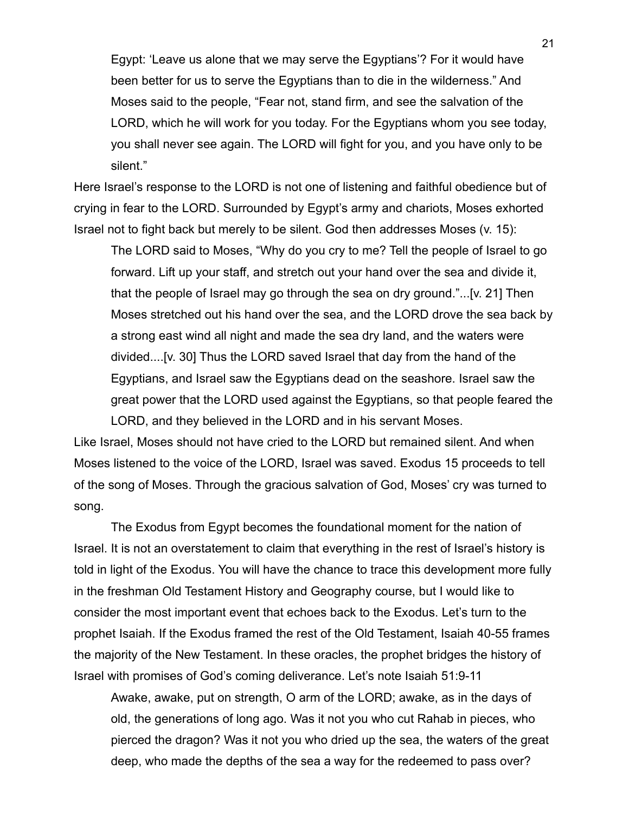Egypt: 'Leave us alone that we may serve the Egyptians'? For it would have been better for us to serve the Egyptians than to die in the wilderness." And Moses said to the people, "Fear not, stand firm, and see the salvation of the LORD, which he will work for you today. For the Egyptians whom you see today, you shall never see again. The LORD will fight for you, and you have only to be silent."

Here Israel's response to the LORD is not one of listening and faithful obedience but of crying in fear to the LORD. Surrounded by Egypt's army and chariots, Moses exhorted Israel not to fight back but merely to be silent. God then addresses Moses (v. 15):

The LORD said to Moses, "Why do you cry to me? Tell the people of Israel to go forward. Lift up your staff, and stretch out your hand over the sea and divide it, that the people of Israel may go through the sea on dry ground."...[v. 21] Then Moses stretched out his hand over the sea, and the LORD drove the sea back by a strong east wind all night and made the sea dry land, and the waters were divided....[v. 30] Thus the LORD saved Israel that day from the hand of the Egyptians, and Israel saw the Egyptians dead on the seashore. Israel saw the great power that the LORD used against the Egyptians, so that people feared the LORD, and they believed in the LORD and in his servant Moses.

Like Israel, Moses should not have cried to the LORD but remained silent. And when Moses listened to the voice of the LORD, Israel was saved. Exodus 15 proceeds to tell of the song of Moses. Through the gracious salvation of God, Moses' cry was turned to song.

The Exodus from Egypt becomes the foundational moment for the nation of Israel. It is not an overstatement to claim that everything in the rest of Israel's history is told in light of the Exodus. You will have the chance to trace this development more fully in the freshman Old Testament History and Geography course, but I would like to consider the most important event that echoes back to the Exodus. Let's turn to the prophet Isaiah. If the Exodus framed the rest of the Old Testament, Isaiah 40-55 frames the majority of the New Testament. In these oracles, the prophet bridges the history of Israel with promises of God's coming deliverance. Let's note Isaiah 51:9-11

Awake, awake, put on strength, O arm of the LORD; awake, as in the days of old, the generations of long ago. Was it not you who cut Rahab in pieces, who pierced the dragon? Was it not you who dried up the sea, the waters of the great deep, who made the depths of the sea a way for the redeemed to pass over?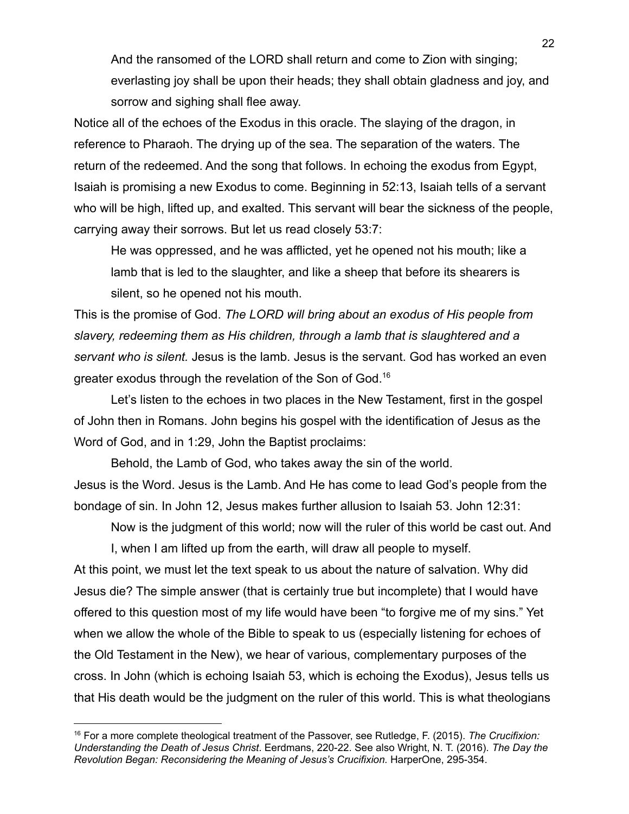And the ransomed of the LORD shall return and come to Zion with singing; everlasting joy shall be upon their heads; they shall obtain gladness and joy, and sorrow and sighing shall flee away.

Notice all of the echoes of the Exodus in this oracle. The slaying of the dragon, in reference to Pharaoh. The drying up of the sea. The separation of the waters. The return of the redeemed. And the song that follows. In echoing the exodus from Egypt, Isaiah is promising a new Exodus to come. Beginning in 52:13, Isaiah tells of a servant who will be high, lifted up, and exalted. This servant will bear the sickness of the people, carrying away their sorrows. But let us read closely 53:7:

He was oppressed, and he was afflicted, yet he opened not his mouth; like a lamb that is led to the slaughter, and like a sheep that before its shearers is silent, so he opened not his mouth.

This is the promise of God. *The LORD will bring about an exodus of His people from slavery, redeeming them as His children, through a lamb that is slaughtered and a servant who is silent.* Jesus is the lamb. Jesus is the servant. God has worked an even greater exodus through the revelation of the Son of God.<sup>16</sup>

Let's listen to the echoes in two places in the New Testament, first in the gospel of John then in Romans. John begins his gospel with the identification of Jesus as the Word of God, and in 1:29, John the Baptist proclaims:

Behold, the Lamb of God, who takes away the sin of the world. Jesus is the Word. Jesus is the Lamb. And He has come to lead God's people from the bondage of sin. In John 12, Jesus makes further allusion to Isaiah 53. John 12:31:

Now is the judgment of this world; now will the ruler of this world be cast out. And

I, when I am lifted up from the earth, will draw all people to myself.

At this point, we must let the text speak to us about the nature of salvation. Why did Jesus die? The simple answer (that is certainly true but incomplete) that I would have offered to this question most of my life would have been "to forgive me of my sins." Yet when we allow the whole of the Bible to speak to us (especially listening for echoes of the Old Testament in the New), we hear of various, complementary purposes of the cross. In John (which is echoing Isaiah 53, which is echoing the Exodus), Jesus tells us that His death would be the judgment on the ruler of this world. This is what theologians

<sup>16</sup> For a more complete theological treatment of the Passover, see Rutledge, F. (2015). *The Crucifixion: Understanding the Death of Jesus Christ*. Eerdmans, 220-22. See also Wright, N. T. (2016). *The Day the Revolution Began: Reconsidering the Meaning of Jesus's Crucifixion.* HarperOne, 295-354.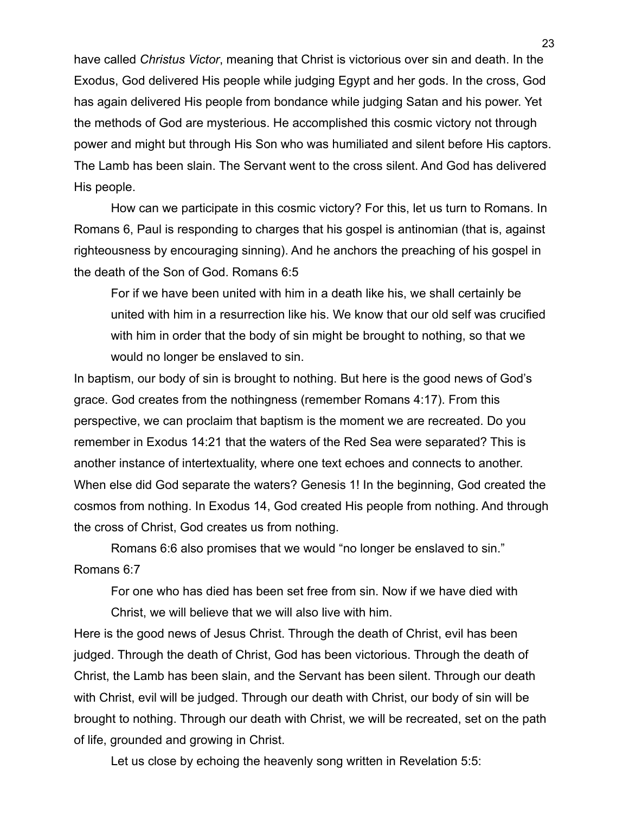have called *Christus Victor*, meaning that Christ is victorious over sin and death. In the Exodus, God delivered His people while judging Egypt and her gods. In the cross, God has again delivered His people from bondance while judging Satan and his power. Yet the methods of God are mysterious. He accomplished this cosmic victory not through power and might but through His Son who was humiliated and silent before His captors. The Lamb has been slain. The Servant went to the cross silent. And God has delivered His people.

How can we participate in this cosmic victory? For this, let us turn to Romans. In Romans 6, Paul is responding to charges that his gospel is antinomian (that is, against righteousness by encouraging sinning). And he anchors the preaching of his gospel in the death of the Son of God. Romans 6:5

For if we have been united with him in a death like his, we shall certainly be united with him in a resurrection like his. We know that our old self was crucified with him in order that the body of sin might be brought to nothing, so that we would no longer be enslaved to sin.

In baptism, our body of sin is brought to nothing. But here is the good news of God's grace. God creates from the nothingness (remember Romans 4:17). From this perspective, we can proclaim that baptism is the moment we are recreated. Do you remember in Exodus 14:21 that the waters of the Red Sea were separated? This is another instance of intertextuality, where one text echoes and connects to another. When else did God separate the waters? Genesis 1! In the beginning, God created the cosmos from nothing. In Exodus 14, God created His people from nothing. And through the cross of Christ, God creates us from nothing.

Romans 6:6 also promises that we would "no longer be enslaved to sin." Romans 6:7

For one who has died has been set free from sin. Now if we have died with Christ, we will believe that we will also live with him.

Here is the good news of Jesus Christ. Through the death of Christ, evil has been judged. Through the death of Christ, God has been victorious. Through the death of Christ, the Lamb has been slain, and the Servant has been silent. Through our death with Christ, evil will be judged. Through our death with Christ, our body of sin will be brought to nothing. Through our death with Christ, we will be recreated, set on the path of life, grounded and growing in Christ.

Let us close by echoing the heavenly song written in Revelation 5:5: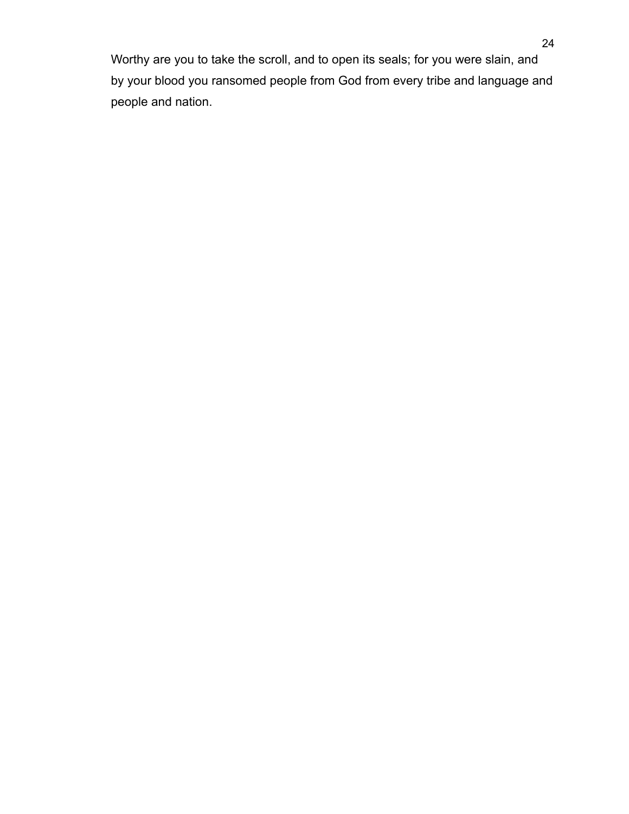Worthy are you to take the scroll, and to open its seals; for you were slain, and by your blood you ransomed people from God from every tribe and language and people and nation.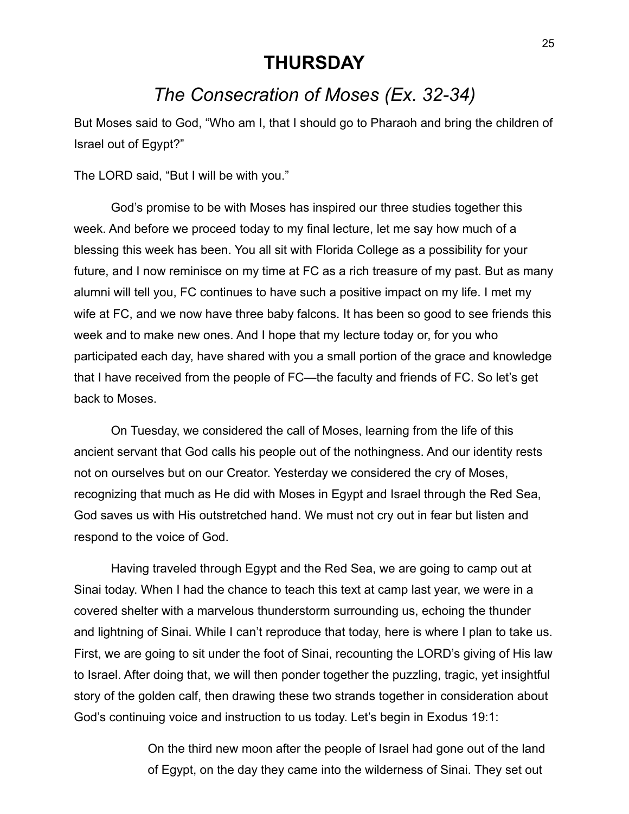#### **THURSDAY**

## *The Consecration of Moses (Ex. 32-34)*

But Moses said to God, "Who am I, that I should go to Pharaoh and bring the children of Israel out of Egypt?"

The LORD said, "But I will be with you."

God's promise to be with Moses has inspired our three studies together this week. And before we proceed today to my final lecture, let me say how much of a blessing this week has been. You all sit with Florida College as a possibility for your future, and I now reminisce on my time at FC as a rich treasure of my past. But as many alumni will tell you, FC continues to have such a positive impact on my life. I met my wife at FC, and we now have three baby falcons. It has been so good to see friends this week and to make new ones. And I hope that my lecture today or, for you who participated each day, have shared with you a small portion of the grace and knowledge that I have received from the people of FC—the faculty and friends of FC. So let's get back to Moses.

On Tuesday, we considered the call of Moses, learning from the life of this ancient servant that God calls his people out of the nothingness. And our identity rests not on ourselves but on our Creator. Yesterday we considered the cry of Moses, recognizing that much as He did with Moses in Egypt and Israel through the Red Sea, God saves us with His outstretched hand. We must not cry out in fear but listen and respond to the voice of God.

Having traveled through Egypt and the Red Sea, we are going to camp out at Sinai today. When I had the chance to teach this text at camp last year, we were in a covered shelter with a marvelous thunderstorm surrounding us, echoing the thunder and lightning of Sinai. While I can't reproduce that today, here is where I plan to take us. First, we are going to sit under the foot of Sinai, recounting the LORD's giving of His law to Israel. After doing that, we will then ponder together the puzzling, tragic, yet insightful story of the golden calf, then drawing these two strands together in consideration about God's continuing voice and instruction to us today. Let's begin in Exodus 19:1:

> On the third new moon after the people of Israel had gone out of the land of Egypt, on the day they came into the wilderness of Sinai. They set out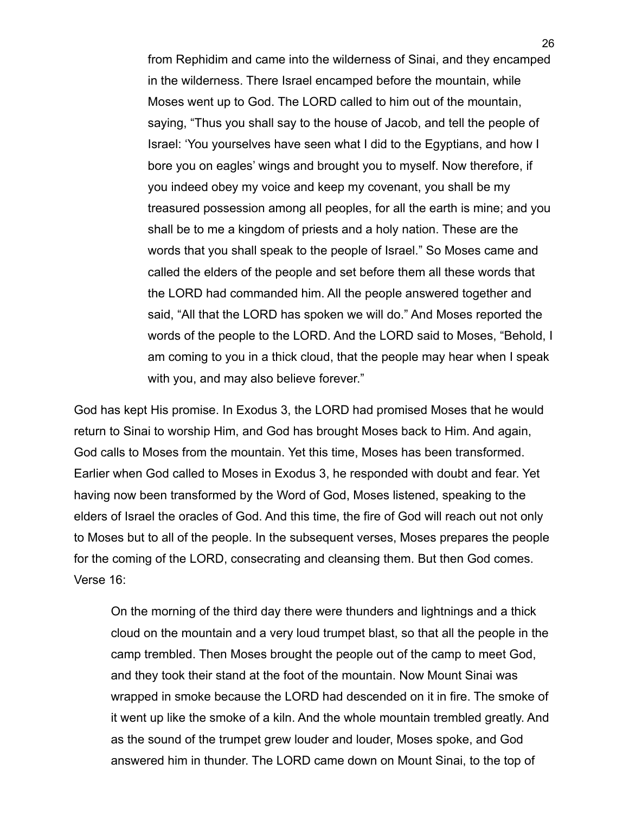from Rephidim and came into the wilderness of Sinai, and they encamped in the wilderness. There Israel encamped before the mountain, while Moses went up to God. The LORD called to him out of the mountain, saying, "Thus you shall say to the house of Jacob, and tell the people of Israel: 'You yourselves have seen what I did to the Egyptians, and how I bore you on eagles' wings and brought you to myself. Now therefore, if you indeed obey my voice and keep my covenant, you shall be my treasured possession among all peoples, for all the earth is mine; and you shall be to me a kingdom of priests and a holy nation. These are the words that you shall speak to the people of Israel." So Moses came and called the elders of the people and set before them all these words that the LORD had commanded him. All the people answered together and said, "All that the LORD has spoken we will do." And Moses reported the words of the people to the LORD. And the LORD said to Moses, "Behold, I am coming to you in a thick cloud, that the people may hear when I speak with you, and may also believe forever."

God has kept His promise. In Exodus 3, the LORD had promised Moses that he would return to Sinai to worship Him, and God has brought Moses back to Him. And again, God calls to Moses from the mountain. Yet this time, Moses has been transformed. Earlier when God called to Moses in Exodus 3, he responded with doubt and fear. Yet having now been transformed by the Word of God, Moses listened, speaking to the elders of Israel the oracles of God. And this time, the fire of God will reach out not only to Moses but to all of the people. In the subsequent verses, Moses prepares the people for the coming of the LORD, consecrating and cleansing them. But then God comes. Verse 16:

On the morning of the third day there were thunders and lightnings and a thick cloud on the mountain and a very loud trumpet blast, so that all the people in the camp trembled. Then Moses brought the people out of the camp to meet God, and they took their stand at the foot of the mountain. Now Mount Sinai was wrapped in smoke because the LORD had descended on it in fire. The smoke of it went up like the smoke of a kiln. And the whole mountain trembled greatly. And as the sound of the trumpet grew louder and louder, Moses spoke, and God answered him in thunder. The LORD came down on Mount Sinai, to the top of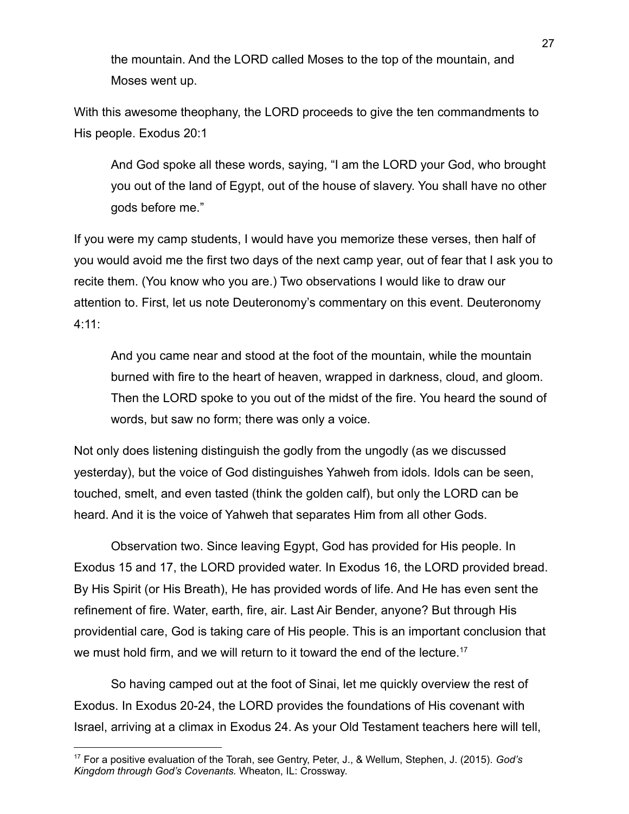the mountain. And the LORD called Moses to the top of the mountain, and Moses went up.

With this awesome theophany, the LORD proceeds to give the ten commandments to His people. Exodus 20:1

And God spoke all these words, saying, "I am the LORD your God, who brought you out of the land of Egypt, out of the house of slavery. You shall have no other gods before me."

If you were my camp students, I would have you memorize these verses, then half of you would avoid me the first two days of the next camp year, out of fear that I ask you to recite them. (You know who you are.) Two observations I would like to draw our attention to. First, let us note Deuteronomy's commentary on this event. Deuteronomy 4:11:

And you came near and stood at the foot of the mountain, while the mountain burned with fire to the heart of heaven, wrapped in darkness, cloud, and gloom. Then the LORD spoke to you out of the midst of the fire. You heard the sound of words, but saw no form; there was only a voice.

Not only does listening distinguish the godly from the ungodly (as we discussed yesterday), but the voice of God distinguishes Yahweh from idols. Idols can be seen, touched, smelt, and even tasted (think the golden calf), but only the LORD can be heard. And it is the voice of Yahweh that separates Him from all other Gods.

Observation two. Since leaving Egypt, God has provided for His people. In Exodus 15 and 17, the LORD provided water. In Exodus 16, the LORD provided bread. By His Spirit (or His Breath), He has provided words of life. And He has even sent the refinement of fire. Water, earth, fire, air. Last Air Bender, anyone? But through His providential care, God is taking care of His people. This is an important conclusion that we must hold firm, and we will return to it toward the end of the lecture.<sup>17</sup>

So having camped out at the foot of Sinai, let me quickly overview the rest of Exodus. In Exodus 20-24, the LORD provides the foundations of His covenant with Israel, arriving at a climax in Exodus 24. As your Old Testament teachers here will tell,

<sup>17</sup> For a positive evaluation of the Torah, see Gentry, Peter, J., & Wellum, Stephen, J. (2015). *God's Kingdom through God's Covenants.* Wheaton, IL: Crossway.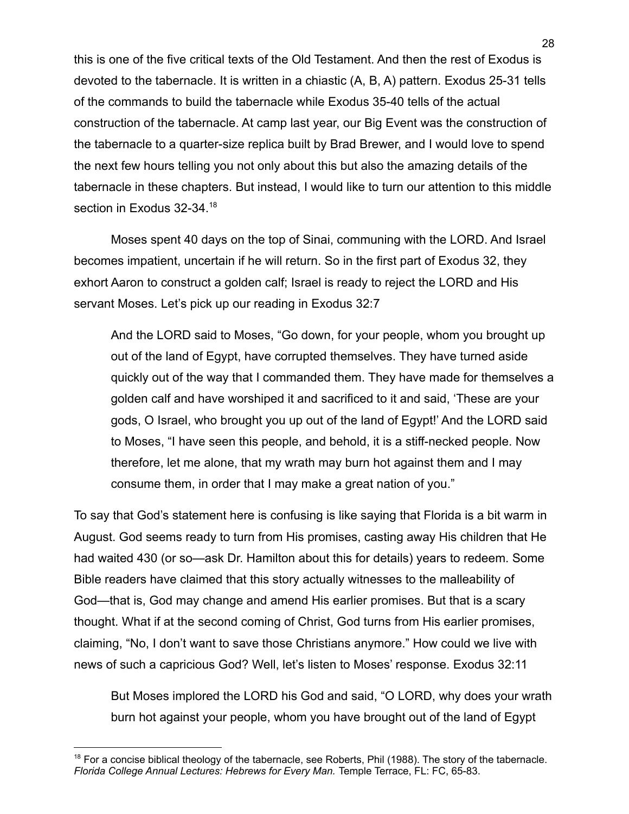this is one of the five critical texts of the Old Testament. And then the rest of Exodus is devoted to the tabernacle. It is written in a chiastic (A, B, A) pattern. Exodus 25-31 tells of the commands to build the tabernacle while Exodus 35-40 tells of the actual construction of the tabernacle. At camp last year, our Big Event was the construction of the tabernacle to a quarter-size replica built by Brad Brewer, and I would love to spend the next few hours telling you not only about this but also the amazing details of the tabernacle in these chapters. But instead, I would like to turn our attention to this middle section in Exodus 32-34.<sup>18</sup>

Moses spent 40 days on the top of Sinai, communing with the LORD. And Israel becomes impatient, uncertain if he will return. So in the first part of Exodus 32, they exhort Aaron to construct a golden calf; Israel is ready to reject the LORD and His servant Moses. Let's pick up our reading in Exodus 32:7

And the LORD said to Moses, "Go down, for your people, whom you brought up out of the land of Egypt, have corrupted themselves. They have turned aside quickly out of the way that I commanded them. They have made for themselves a golden calf and have worshiped it and sacrificed to it and said, 'These are your gods, O Israel, who brought you up out of the land of Egypt!' And the LORD said to Moses, "I have seen this people, and behold, it is a stiff-necked people. Now therefore, let me alone, that my wrath may burn hot against them and I may consume them, in order that I may make a great nation of you."

To say that God's statement here is confusing is like saying that Florida is a bit warm in August. God seems ready to turn from His promises, casting away His children that He had waited 430 (or so—ask Dr. Hamilton about this for details) years to redeem. Some Bible readers have claimed that this story actually witnesses to the malleability of God—that is, God may change and amend His earlier promises. But that is a scary thought. What if at the second coming of Christ, God turns from His earlier promises, claiming, "No, I don't want to save those Christians anymore." How could we live with news of such a capricious God? Well, let's listen to Moses' response. Exodus 32:11

But Moses implored the LORD his God and said, "O LORD, why does your wrath burn hot against your people, whom you have brought out of the land of Egypt

<sup>&</sup>lt;sup>18</sup> For a concise biblical theology of the tabernacle, see Roberts, Phil (1988). The story of the tabernacle, *Florida College Annual Lectures: Hebrews for Every Man.* Temple Terrace, FL: FC, 65-83.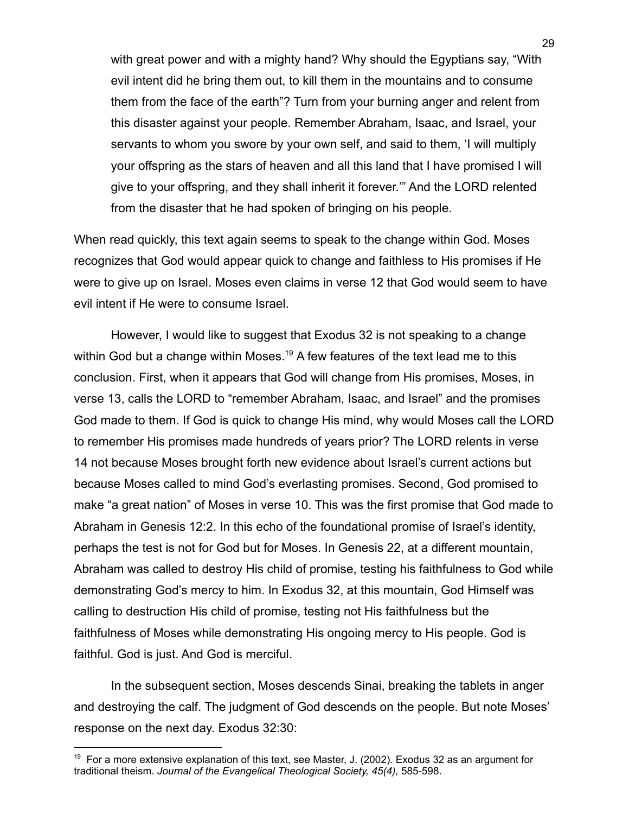with great power and with a mighty hand? Why should the Egyptians say, "With evil intent did he bring them out, to kill them in the mountains and to consume them from the face of the earth"? Turn from your burning anger and relent from this disaster against your people. Remember Abraham, Isaac, and Israel, your servants to whom you swore by your own self, and said to them, 'I will multiply your offspring as the stars of heaven and all this land that I have promised I will give to your offspring, and they shall inherit it forever.'" And the LORD relented from the disaster that he had spoken of bringing on his people.

When read quickly, this text again seems to speak to the change within God. Moses recognizes that God would appear quick to change and faithless to His promises if He were to give up on Israel. Moses even claims in verse 12 that God would seem to have evil intent if He were to consume Israel.

However, I would like to suggest that Exodus 32 is not speaking to a change within God but a change within Moses.<sup>19</sup> A few features of the text lead me to this conclusion. First, when it appears that God will change from His promises, Moses, in verse 13, calls the LORD to "remember Abraham, Isaac, and Israel" and the promises God made to them. If God is quick to change His mind, why would Moses call the LORD to remember His promises made hundreds of years prior? The LORD relents in verse 14 not because Moses brought forth new evidence about Israel's current actions but because Moses called to mind God's everlasting promises. Second, God promised to make "a great nation" of Moses in verse 10. This was the first promise that God made to Abraham in Genesis 12:2. In this echo of the foundational promise of Israel's identity, perhaps the test is not for God but for Moses. In Genesis 22, at a different mountain, Abraham was called to destroy His child of promise, testing his faithfulness to God while demonstrating God's mercy to him. In Exodus 32, at this mountain, God Himself was calling to destruction His child of promise, testing not His faithfulness but the faithfulness of Moses while demonstrating His ongoing mercy to His people. God is faithful. God is just. And God is merciful.

In the subsequent section, Moses descends Sinai, breaking the tablets in anger and destroying the calf. The judgment of God descends on the people. But note Moses' response on the next day. Exodus 32:30:

 $19$  For a more extensive explanation of this text, see Master, J. (2002). Exodus 32 as an argument for traditional theism. *Journal of the Evangelical Theological Society, 45(4),* 585-598.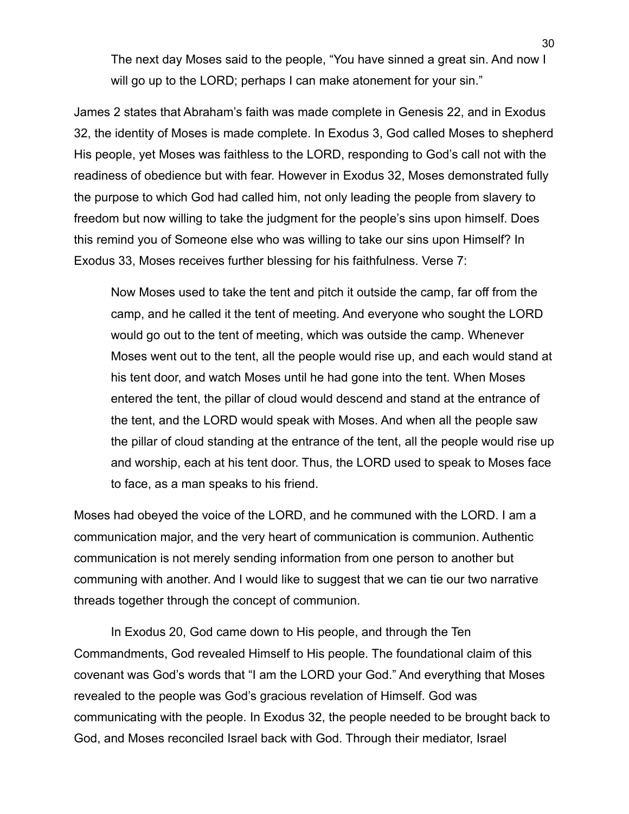The next day Moses said to the people, "You have sinned a great sin. And now I will go up to the LORD; perhaps I can make atonement for your sin."

James 2 states that Abraham's faith was made complete in Genesis 22, and in Exodus 32, the identity of Moses is made complete. In Exodus 3, God called Moses to shepherd His people, yet Moses was faithless to the LORD, responding to God's call not with the readiness of obedience but with fear. However in Exodus 32, Moses demonstrated fully the purpose to which God had called him, not only leading the people from slavery to freedom but now willing to take the judgment for the people's sins upon himself. Does this remind you of Someone else who was willing to take our sins upon Himself? In Exodus 33, Moses receives further blessing for his faithfulness. Verse 7:

Now Moses used to take the tent and pitch it outside the camp, far off from the camp, and he called it the tent of meeting. And everyone who sought the LORD would go out to the tent of meeting, which was outside the camp. Whenever Moses went out to the tent, all the people would rise up, and each would stand at his tent door, and watch Moses until he had gone into the tent. When Moses entered the tent, the pillar of cloud would descend and stand at the entrance of the tent, and the LORD would speak with Moses. And when all the people saw the pillar of cloud standing at the entrance of the tent, all the people would rise up and worship, each at his tent door. Thus, the LORD used to speak to Moses face to face, as a man speaks to his friend.

Moses had obeyed the voice of the LORD, and he communed with the LORD. I am a communication major, and the very heart of communication is communion. Authentic communication is not merely sending information from one person to another but communing with another. And I would like to suggest that we can tie our two narrative threads together through the concept of communion.

In Exodus 20, God came down to His people, and through the Ten Commandments, God revealed Himself to His people. The foundational claim of this covenant was God's words that "I am the LORD your God." And everything that Moses revealed to the people was God's gracious revelation of Himself. God was communicating with the people. In Exodus 32, the people needed to be brought back to God, and Moses reconciled Israel back with God. Through their mediator, Israel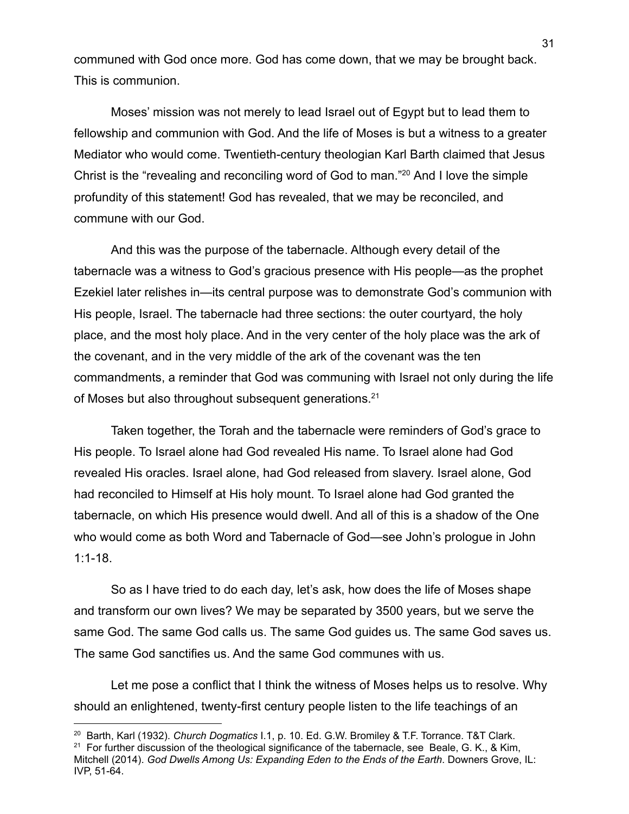communed with God once more. God has come down, that we may be brought back. This is communion.

Moses' mission was not merely to lead Israel out of Egypt but to lead them to fellowship and communion with God. And the life of Moses is but a witness to a greater Mediator who would come. Twentieth-century theologian Karl Barth claimed that Jesus Christ is the "revealing and reconciling word of God to man."<sup>20</sup> And I love the simple profundity of this statement! God has revealed, that we may be reconciled, and commune with our God.

And this was the purpose of the tabernacle. Although every detail of the tabernacle was a witness to God's gracious presence with His people—as the prophet Ezekiel later relishes in—its central purpose was to demonstrate God's communion with His people, Israel. The tabernacle had three sections: the outer courtyard, the holy place, and the most holy place. And in the very center of the holy place was the ark of the covenant, and in the very middle of the ark of the covenant was the ten commandments, a reminder that God was communing with Israel not only during the life of Moses but also throughout subsequent generations.<sup>21</sup>

Taken together, the Torah and the tabernacle were reminders of God's grace to His people. To Israel alone had God revealed His name. To Israel alone had God revealed His oracles. Israel alone, had God released from slavery. Israel alone, God had reconciled to Himself at His holy mount. To Israel alone had God granted the tabernacle, on which His presence would dwell. And all of this is a shadow of the One who would come as both Word and Tabernacle of God—see John's prologue in John 1:1-18.

So as I have tried to do each day, let's ask, how does the life of Moses shape and transform our own lives? We may be separated by 3500 years, but we serve the same God. The same God calls us. The same God guides us. The same God saves us. The same God sanctifies us. And the same God communes with us.

Let me pose a conflict that I think the witness of Moses helps us to resolve. Why should an enlightened, twenty-first century people listen to the life teachings of an

 $21$  For further discussion of the theological significance of the tabernacle, see Beale, G. K., & Kim, Mitchell (2014). *God Dwells Among Us: Expanding Eden to the Ends of the Earth*. Downers Grove, IL: IVP, 51-64. <sup>20</sup> Barth, Karl (1932). *Church Dogmatics* I.1, p. 10. Ed. G.W. Bromiley & T.F. Torrance. T&T Clark.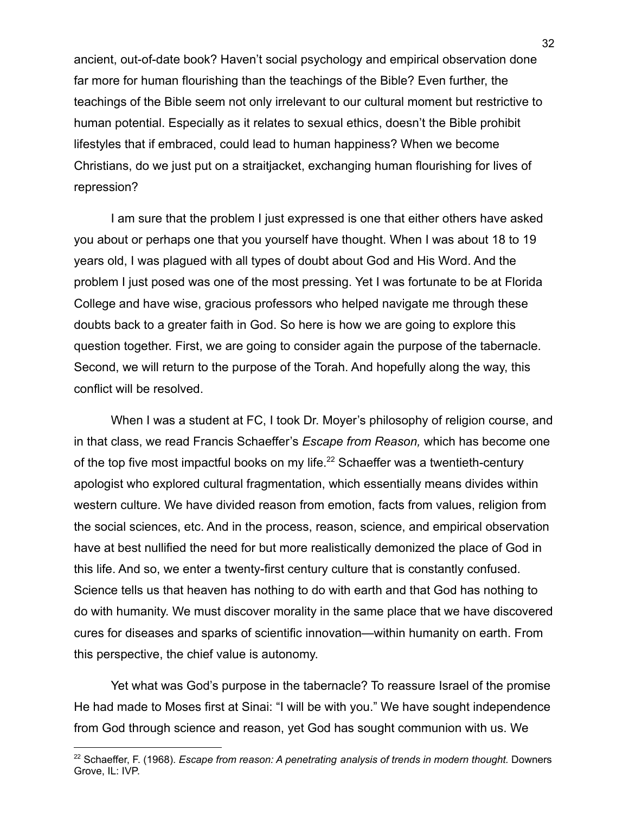ancient, out-of-date book? Haven't social psychology and empirical observation done far more for human flourishing than the teachings of the Bible? Even further, the teachings of the Bible seem not only irrelevant to our cultural moment but restrictive to human potential. Especially as it relates to sexual ethics, doesn't the Bible prohibit lifestyles that if embraced, could lead to human happiness? When we become Christians, do we just put on a straitjacket, exchanging human flourishing for lives of repression?

I am sure that the problem I just expressed is one that either others have asked you about or perhaps one that you yourself have thought. When I was about 18 to 19 years old, I was plagued with all types of doubt about God and His Word. And the problem I just posed was one of the most pressing. Yet I was fortunate to be at Florida College and have wise, gracious professors who helped navigate me through these doubts back to a greater faith in God. So here is how we are going to explore this question together. First, we are going to consider again the purpose of the tabernacle. Second, we will return to the purpose of the Torah. And hopefully along the way, this conflict will be resolved.

When I was a student at FC, I took Dr. Moyer's philosophy of religion course, and in that class, we read Francis Schaeffer's *Escape from Reason,* which has become one of the top five most impactful books on my life.<sup>22</sup> Schaeffer was a twentieth-century apologist who explored cultural fragmentation, which essentially means divides within western culture. We have divided reason from emotion, facts from values, religion from the social sciences, etc. And in the process, reason, science, and empirical observation have at best nullified the need for but more realistically demonized the place of God in this life. And so, we enter a twenty-first century culture that is constantly confused. Science tells us that heaven has nothing to do with earth and that God has nothing to do with humanity. We must discover morality in the same place that we have discovered cures for diseases and sparks of scientific innovation—within humanity on earth. From this perspective, the chief value is autonomy.

Yet what was God's purpose in the tabernacle? To reassure Israel of the promise He had made to Moses first at Sinai: "I will be with you." We have sought independence from God through science and reason, yet God has sought communion with us. We

<sup>22</sup> Schaeffer, F. (1968). *Escape from reason: A penetrating analysis of trends in modern thought.* Downers Grove, IL: IVP.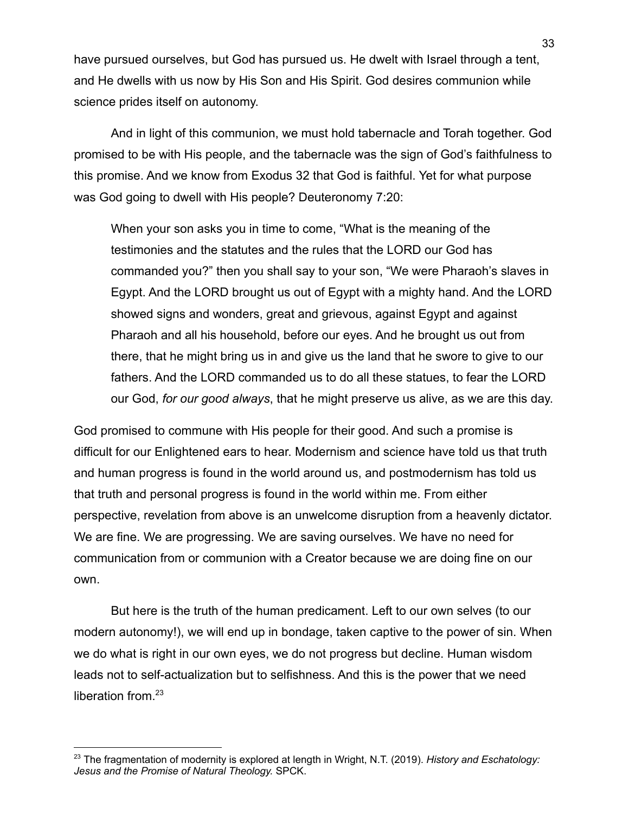have pursued ourselves, but God has pursued us. He dwelt with Israel through a tent, and He dwells with us now by His Son and His Spirit. God desires communion while science prides itself on autonomy.

And in light of this communion, we must hold tabernacle and Torah together. God promised to be with His people, and the tabernacle was the sign of God's faithfulness to this promise. And we know from Exodus 32 that God is faithful. Yet for what purpose was God going to dwell with His people? Deuteronomy 7:20:

When your son asks you in time to come, "What is the meaning of the testimonies and the statutes and the rules that the LORD our God has commanded you?" then you shall say to your son, "We were Pharaoh's slaves in Egypt. And the LORD brought us out of Egypt with a mighty hand. And the LORD showed signs and wonders, great and grievous, against Egypt and against Pharaoh and all his household, before our eyes. And he brought us out from there, that he might bring us in and give us the land that he swore to give to our fathers. And the LORD commanded us to do all these statues, to fear the LORD our God, *for our good always*, that he might preserve us alive, as we are this day.

God promised to commune with His people for their good. And such a promise is difficult for our Enlightened ears to hear. Modernism and science have told us that truth and human progress is found in the world around us, and postmodernism has told us that truth and personal progress is found in the world within me. From either perspective, revelation from above is an unwelcome disruption from a heavenly dictator. We are fine. We are progressing. We are saving ourselves. We have no need for communication from or communion with a Creator because we are doing fine on our own.

But here is the truth of the human predicament. Left to our own selves (to our modern autonomy!), we will end up in bondage, taken captive to the power of sin. When we do what is right in our own eyes, we do not progress but decline. Human wisdom leads not to self-actualization but to selfishness. And this is the power that we need liberation from.<sup>23</sup>

<sup>23</sup> The fragmentation of modernity is explored at length in Wright, N.T. (2019). *History and Eschatology: Jesus and the Promise of Natural Theology.* SPCK.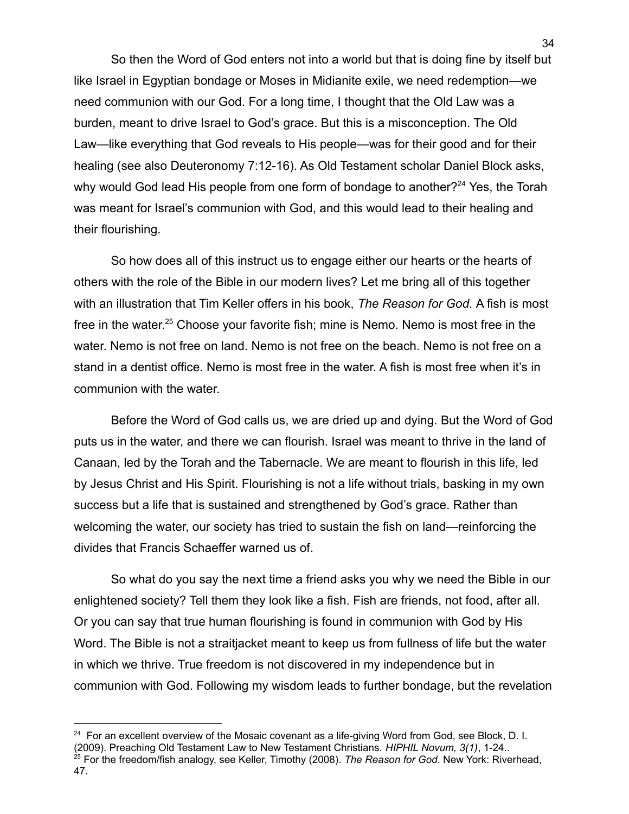So then the Word of God enters not into a world but that is doing fine by itself but like Israel in Egyptian bondage or Moses in Midianite exile, we need redemption—we need communion with our God. For a long time, I thought that the Old Law was a burden, meant to drive Israel to God's grace. But this is a misconception. The Old Law—like everything that God reveals to His people—was for their good and for their healing (see also Deuteronomy 7:12-16). As Old Testament scholar Daniel Block asks, why would God lead His people from one form of bondage to another?<sup>24</sup> Yes, the Torah was meant for Israel's communion with God, and this would lead to their healing and their flourishing.

So how does all of this instruct us to engage either our hearts or the hearts of others with the role of the Bible in our modern lives? Let me bring all of this together with an illustration that Tim Keller offers in his book, *The Reason for God.* A fish is most free in the water.<sup>25</sup> Choose your favorite fish; mine is Nemo. Nemo is most free in the water. Nemo is not free on land. Nemo is not free on the beach. Nemo is not free on a stand in a dentist office. Nemo is most free in the water. A fish is most free when it's in communion with the water.

Before the Word of God calls us, we are dried up and dying. But the Word of God puts us in the water, and there we can flourish. Israel was meant to thrive in the land of Canaan, led by the Torah and the Tabernacle. We are meant to flourish in this life, led by Jesus Christ and His Spirit. Flourishing is not a life without trials, basking in my own success but a life that is sustained and strengthened by God's grace. Rather than welcoming the water, our society has tried to sustain the fish on land—reinforcing the divides that Francis Schaeffer warned us of.

So what do you say the next time a friend asks you why we need the Bible in our enlightened society? Tell them they look like a fish. Fish are friends, not food, after all. Or you can say that true human flourishing is found in communion with God by His Word. The Bible is not a straitjacket meant to keep us from fullness of life but the water in which we thrive. True freedom is not discovered in my independence but in communion with God. Following my wisdom leads to further bondage, but the revelation

 $24$  For an excellent overview of the Mosaic covenant as a life-giving Word from God, see Block, D. I. (2009). Preaching Old Testament Law to New Testament Christians. *HIPHIL Novum, 3(1)*, 1-24..

<sup>25</sup> For the freedom/fish analogy, see Keller, Timothy (2008). *The Reason for God*. New York: Riverhead, 47.